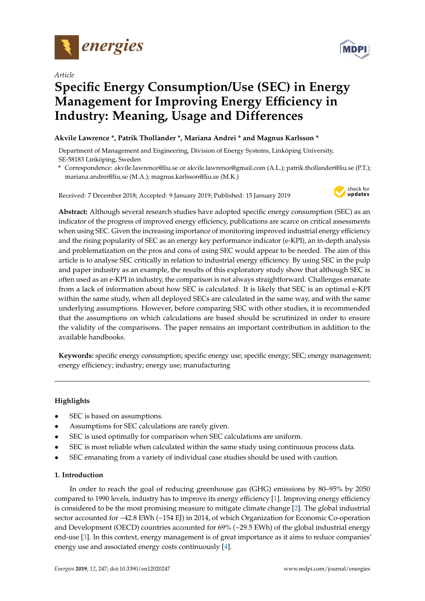

*Article*

# **Specific Energy Consumption/Use (SEC) in Energy Management for Improving Energy Efficiency in Industry: Meaning, Usage and Differences**

# **Akvile Lawrence \*, Patrik Thollander \*, Mariana Andrei \* and Magnus Karlsson \***

Department of Management and Engineering, Division of Energy Systems, Linköping University, SE-58183 Linköping, Sweden

**\*** Correspondence: akvile.lawrence@liu.se or akvile.lawrence@gmail.com (A.L.); patrik.thollander@liu.se (P.T.); mariana.andrei@liu.se (M.A.); magnus.karlsson@liu.se (M.K.)

Received: 7 December 2018; Accepted: 9 January 2019; Published: 15 January 2019



**Abstract:** Although several research studies have adopted specific energy consumption (SEC) as an indicator of the progress of improved energy efficiency, publications are scarce on critical assessments when using SEC. Given the increasing importance of monitoring improved industrial energy efficiency and the rising popularity of SEC as an energy key performance indicator (e-KPI), an in-depth analysis and problematization on the pros and cons of using SEC would appear to be needed. The aim of this article is to analyse SEC critically in relation to industrial energy efficiency. By using SEC in the pulp and paper industry as an example, the results of this exploratory study show that although SEC is often used as an e-KPI in industry, the comparison is not always straightforward. Challenges emanate from a lack of information about how SEC is calculated. It is likely that SEC is an optimal e-KPI within the same study, when all deployed SECs are calculated in the same way, and with the same underlying assumptions. However, before comparing SEC with other studies, it is recommended that the assumptions on which calculations are based should be scrutinized in order to ensure the validity of the comparisons. The paper remains an important contribution in addition to the available handbooks.

**Keywords:** specific energy consumption; specific energy use; specific energy; SEC; energy management; energy efficiency; industry; energy use; manufacturing

# **Highlights**

- SEC is based on assumptions.
- Assumptions for SEC calculations are rarely given.
- SEC is used optimally for comparison when SEC calculations are uniform.
- SEC is most reliable when calculated within the same study using continuous process data.
- SEC emanating from a variety of individual case studies should be used with caution.

# **1. Introduction**

In order to reach the goal of reducing greenhouse gas (GHG) emissions by 80–95% by 2050 compared to 1990 levels, industry has to improve its energy efficiency [\[1\]](#page-19-0). Improving energy efficiency is considered to be the most promising measure to mitigate climate change [\[2\]](#page-19-1). The global industrial sector accounted for ~42.8 EWh (~154 EJ) in 2014, of which Organization for Economic Co-operation and Development (OECD) countries accounted for 69% (~29.5 EWh) of the global industrial energy end-use [\[3\]](#page-19-2). In this context, energy management is of great importance as it aims to reduce companies' energy use and associated energy costs continuously [\[4\]](#page-19-3).

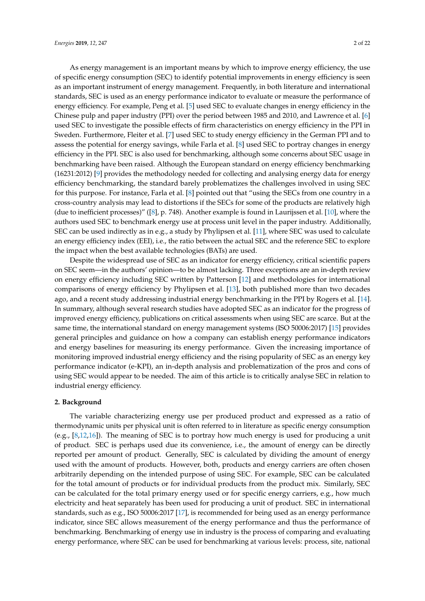As energy management is an important means by which to improve energy efficiency, the use of specific energy consumption (SEC) to identify potential improvements in energy efficiency is seen as an important instrument of energy management. Frequently, in both literature and international standards, SEC is used as an energy performance indicator to evaluate or measure the performance of energy efficiency. For example, Peng et al. [\[5\]](#page-19-4) used SEC to evaluate changes in energy efficiency in the Chinese pulp and paper industry (PPI) over the period between 1985 and 2010, and Lawrence et al. [\[6\]](#page-19-5) used SEC to investigate the possible effects of firm characteristics on energy efficiency in the PPI in Sweden. Furthermore, Fleiter et al. [\[7\]](#page-19-6) used SEC to study energy efficiency in the German PPI and to assess the potential for energy savings, while Farla et al. [\[8\]](#page-19-7) used SEC to portray changes in energy efficiency in the PPI. SEC is also used for benchmarking, although some concerns about SEC usage in benchmarking have been raised. Although the European standard on energy efficiency benchmarking (16231:2012) [\[9\]](#page-19-8) provides the methodology needed for collecting and analysing energy data for energy efficiency benchmarking, the standard barely problematizes the challenges involved in using SEC for this purpose. For instance, Farla et al. [\[8\]](#page-19-7) pointed out that "using the SECs from one country in a cross-country analysis may lead to distortions if the SECs for some of the products are relatively high (due to inefficient processes)" ([\[8\]](#page-19-7), p. 748). Another example is found in Laurijssen et al. [\[10\]](#page-19-9), where the authors used SEC to benchmark energy use at process unit level in the paper industry. Additionally, SEC can be used indirectly as in e.g., a study by Phylipsen et al. [\[11\]](#page-19-10), where SEC was used to calculate an energy efficiency index (EEI), i.e., the ratio between the actual SEC and the reference SEC to explore the impact when the best available technologies (BATs) are used.

Despite the widespread use of SEC as an indicator for energy efficiency, critical scientific papers on SEC seem—in the authors' opinion—to be almost lacking. Three exceptions are an in-depth review on energy efficiency including SEC written by Patterson [\[12\]](#page-19-11) and methodologies for international comparisons of energy efficiency by Phylipsen et al. [\[13\]](#page-19-12), both published more than two decades ago, and a recent study addressing industrial energy benchmarking in the PPI by Rogers et al. [\[14\]](#page-19-13). In summary, although several research studies have adopted SEC as an indicator for the progress of improved energy efficiency, publications on critical assessments when using SEC are scarce. But at the same time, the international standard on energy management systems (ISO 50006:2017) [\[15\]](#page-19-14) provides general principles and guidance on how a company can establish energy performance indicators and energy baselines for measuring its energy performance. Given the increasing importance of monitoring improved industrial energy efficiency and the rising popularity of SEC as an energy key performance indicator (e-KPI), an in-depth analysis and problematization of the pros and cons of using SEC would appear to be needed. The aim of this article is to critically analyse SEC in relation to industrial energy efficiency.

#### **2. Background**

The variable characterizing energy use per produced product and expressed as a ratio of thermodynamic units per physical unit is often referred to in literature as specific energy consumption (e.g., [\[8](#page-19-7)[,12](#page-19-11)[,16\]](#page-19-15)). The meaning of SEC is to portray how much energy is used for producing a unit of product. SEC is perhaps used due its convenience, i.e., the amount of energy can be directly reported per amount of product. Generally, SEC is calculated by dividing the amount of energy used with the amount of products. However, both, products and energy carriers are often chosen arbitrarily depending on the intended purpose of using SEC. For example, SEC can be calculated for the total amount of products or for individual products from the product mix. Similarly, SEC can be calculated for the total primary energy used or for specific energy carriers, e.g., how much electricity and heat separately has been used for producing a unit of product. SEC in international standards, such as e.g., ISO 50006:2017 [\[17\]](#page-19-16), is recommended for being used as an energy performance indicator, since SEC allows measurement of the energy performance and thus the performance of benchmarking. Benchmarking of energy use in industry is the process of comparing and evaluating energy performance, where SEC can be used for benchmarking at various levels: process, site, national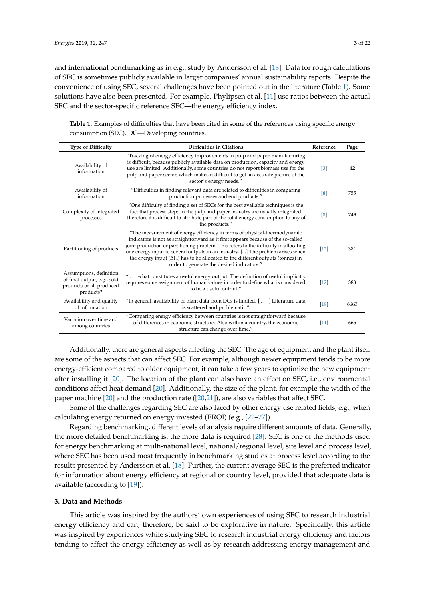and international benchmarking as in e.g., study by Andersson et al. [\[18\]](#page-19-17). Data for rough calculations of SEC is sometimes publicly available in larger companies' annual sustainability reports. Despite the convenience of using SEC, several challenges have been pointed out in the literature (Table [1\)](#page-2-0). Some solutions have also been presented. For example, Phylipsen et al. [\[11\]](#page-19-10) use ratios between the actual SEC and the sector-specific reference SEC—the energy efficiency index.

<span id="page-2-0"></span>**Table 1.** Examples of difficulties that have been cited in some of the references using specific energy consumption (SEC). DC—Developing countries.

| <b>Type of Difficulty</b>                                                                       | <b>Difficulties in Citations</b>                                                                                                                                                                                                                                                                                                                                                                                                                                                 | Reference         | Page |
|-------------------------------------------------------------------------------------------------|----------------------------------------------------------------------------------------------------------------------------------------------------------------------------------------------------------------------------------------------------------------------------------------------------------------------------------------------------------------------------------------------------------------------------------------------------------------------------------|-------------------|------|
| Availability of<br>information                                                                  | "Tracking of energy efficiency improvements in pulp and paper manufacturing<br>is difficult, because publicly available data on production, capacity and energy<br>use are limited. Additionally, some countries do not report biomass use for the<br>pulp and paper sector, which makes it difficult to get an accurate picture of the<br>sector's energy needs."                                                                                                               | $\lceil 3 \rceil$ | 42   |
| Availability of<br>information                                                                  | "Difficulties in finding relevant data are related to difficulties in comparing<br>production processes and end products."                                                                                                                                                                                                                                                                                                                                                       | $\lceil 8 \rceil$ | 755  |
| Complexity of integrated<br>processes                                                           | "One difficulty of finding a set of SECs for the best available techniques is the<br>fact that process steps in the pulp and paper industry are usually integrated.<br>Therefore it is difficult to attribute part of the total energy consumption to any of<br>the products."                                                                                                                                                                                                   | $\lceil 8 \rceil$ | 749  |
| Partitioning of products                                                                        | "The measurement of energy efficiency in terms of physical-thermodynamic<br>indicators is not as straightforward as it first appears because of the so-called<br>joint production or partitioning problem. This refers to the difficulty in allocating<br>one energy input to several outputs in an industry. [] The problem arises when<br>the energy input $(\Delta H)$ has to be allocated to the different outputs (tonnes) in<br>order to generate the desired indicators." | $[12]$            | 381  |
| Assumptions, definition<br>of final output, e.g., sold<br>products or all produced<br>products? | "  what constitutes a useful energy output. The definition of useful implicitly<br>requires some assignment of human values in order to define what is considered<br>to be a useful output."                                                                                                                                                                                                                                                                                     | $\vert$ 12        | 383  |
| Availability and quality<br>of information                                                      | "In general, availability of plant data from DCs is limited. [] Literature data<br>is scattered and problematic."                                                                                                                                                                                                                                                                                                                                                                | $[19]$            | 6663 |
| Variation over time and<br>among countries                                                      | "Comparing energy efficiency between countries is not straightforward because<br>of differences in economic structure. Also within a country, the economic<br>structure can change over time."                                                                                                                                                                                                                                                                                   | $[11]$            | 665  |

Additionally, there are general aspects affecting the SEC. The age of equipment and the plant itself are some of the aspects that can affect SEC. For example, although newer equipment tends to be more energy-efficient compared to older equipment, it can take a few years to optimize the new equipment after installing it [\[20\]](#page-19-19). The location of the plant can also have an effect on SEC, i.e., environmental conditions affect heat demand [\[20\]](#page-19-19). Additionally, the size of the plant, for example the width of the paper machine [\[20\]](#page-19-19) and the production rate  $(20,21)$ , are also variables that affect SEC.

Some of the challenges regarding SEC are also faced by other energy use related fields, e.g., when calculating energy returned on energy invested (EROI) (e.g., [\[22–](#page-19-21)[27\]](#page-20-0)).

Regarding benchmarking, different levels of analysis require different amounts of data. Generally, the more detailed benchmarking is, the more data is required [\[28\]](#page-20-1). SEC is one of the methods used for energy benchmarking at multi-national level, national/regional level, site level and process level, where SEC has been used most frequently in benchmarking studies at process level according to the results presented by Andersson et al. [\[18\]](#page-19-17). Further, the current average SEC is the preferred indicator for information about energy efficiency at regional or country level, provided that adequate data is available (according to [\[19\]](#page-19-18)).

#### <span id="page-2-1"></span>**3. Data and Methods**

This article was inspired by the authors' own experiences of using SEC to research industrial energy efficiency and can, therefore, be said to be explorative in nature. Specifically, this article was inspired by experiences while studying SEC to research industrial energy efficiency and factors tending to affect the energy efficiency as well as by research addressing energy management and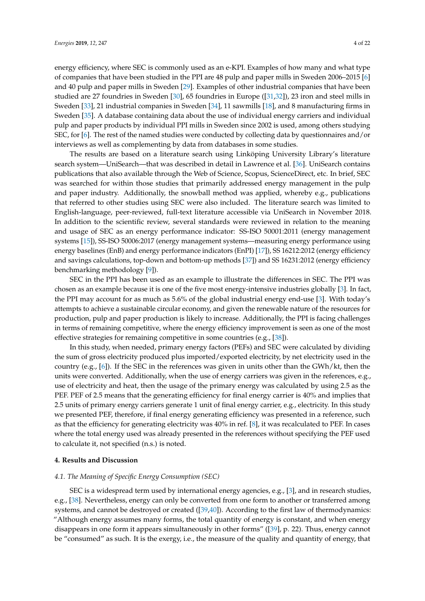energy efficiency, where SEC is commonly used as an e-KPI. Examples of how many and what type of companies that have been studied in the PPI are 48 pulp and paper mills in Sweden 2006–2015 [\[6\]](#page-19-5) and 40 pulp and paper mills in Sweden [\[29\]](#page-20-2). Examples of other industrial companies that have been studied are 27 foundries in Sweden [\[30\]](#page-20-3), 65 foundries in Europe ([\[31,](#page-20-4)[32\]](#page-20-5)), 23 iron and steel mills in Sweden [\[33\]](#page-20-6), 21 industrial companies in Sweden [\[34\]](#page-20-7), 11 sawmills [\[18\]](#page-19-17), and 8 manufacturing firms in Sweden [\[35\]](#page-20-8). A database containing data about the use of individual energy carriers and individual pulp and paper products by individual PPI mills in Sweden since 2002 is used, among others studying SEC, for [\[6\]](#page-19-5). The rest of the named studies were conducted by collecting data by questionnaires and/or interviews as well as complementing by data from databases in some studies.

The results are based on a literature search using Linköping University Library's literature search system—UniSearch—that was described in detail in Lawrence et al. [\[36\]](#page-20-9). UniSearch contains publications that also available through the Web of Science, Scopus, ScienceDirect, etc. In brief, SEC was searched for within those studies that primarily addressed energy management in the pulp and paper industry. Additionally, the snowball method was applied, whereby e.g., publications that referred to other studies using SEC were also included. The literature search was limited to English-language, peer-reviewed, full-text literature accessible via UniSearch in November 2018. In addition to the scientific review, several standards were reviewed in relation to the meaning and usage of SEC as an energy performance indicator: SS-ISO 50001:2011 (energy management systems [\[15\]](#page-19-14)), SS-ISO 50006:2017 (energy management systems—measuring energy performance using energy baselines (EnB) and energy performance indicators (EnPI) [\[17\]](#page-19-16)), SS 16212:2012 (energy efficiency and savings calculations, top-down and bottom-up methods [\[37\]](#page-20-10)) and SS 16231:2012 (energy efficiency benchmarking methodology [\[9\]](#page-19-8)).

SEC in the PPI has been used as an example to illustrate the differences in SEC. The PPI was chosen as an example because it is one of the five most energy-intensive industries globally [\[3\]](#page-19-2). In fact, the PPI may account for as much as 5.6% of the global industrial energy end-use [\[3\]](#page-19-2). With today's attempts to achieve a sustainable circular economy, and given the renewable nature of the resources for production, pulp and paper production is likely to increase. Additionally, the PPI is facing challenges in terms of remaining competitive, where the energy efficiency improvement is seen as one of the most effective strategies for remaining competitive in some countries (e.g., [\[38\]](#page-20-11)).

In this study, when needed, primary energy factors (PEFs) and SEC were calculated by dividing the sum of gross electricity produced plus imported/exported electricity, by net electricity used in the country (e.g., [\[6\]](#page-19-5)). If the SEC in the references was given in units other than the GWh/kt, then the units were converted. Additionally, when the use of energy carriers was given in the references, e.g., use of electricity and heat, then the usage of the primary energy was calculated by using 2.5 as the PEF. PEF of 2.5 means that the generating efficiency for final energy carrier is 40% and implies that 2.5 units of primary energy carriers generate 1 unit of final energy carrier, e.g., electricity. In this study we presented PEF, therefore, if final energy generating efficiency was presented in a reference, such as that the efficiency for generating electricity was 40% in ref. [\[8\]](#page-19-7), it was recalculated to PEF. In cases where the total energy used was already presented in the references without specifying the PEF used to calculate it, not specified (n.s.) is noted.

#### **4. Results and Discussion**

#### *4.1. The Meaning of Specific Energy Consumption (SEC)*

SEC is a widespread term used by international energy agencies, e.g., [\[3\]](#page-19-2), and in research studies, e.g., [\[38\]](#page-20-11). Nevertheless, energy can only be converted from one form to another or transferred among systems, and cannot be destroyed or created ([\[39,](#page-20-12)[40\]](#page-20-13)). According to the first law of thermodynamics: "Although energy assumes many forms, the total quantity of energy is constant, and when energy disappears in one form it appears simultaneously in other forms" ([\[39\]](#page-20-12), p. 22). Thus, energy cannot be "consumed" as such. It is the exergy, i.e., the measure of the quality and quantity of energy, that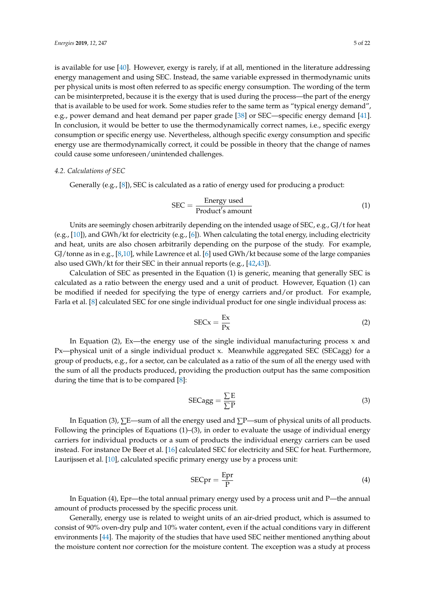is available for use [\[40\]](#page-20-13). However, exergy is rarely, if at all, mentioned in the literature addressing energy management and using SEC. Instead, the same variable expressed in thermodynamic units per physical units is most often referred to as specific energy consumption. The wording of the term can be misinterpreted, because it is the exergy that is used during the process—the part of the energy that is available to be used for work. Some studies refer to the same term as "typical energy demand", e.g., power demand and heat demand per paper grade [\[38\]](#page-20-11) or SEC—specific energy demand [\[41\]](#page-20-14). In conclusion, it would be better to use the thermodynamically correct names, i.e., specific exergy consumption or specific energy use. Nevertheless, although specific exergy consumption and specific energy use are thermodynamically correct, it could be possible in theory that the change of names could cause some unforeseen/unintended challenges.

#### *4.2. Calculations of SEC*

Generally (e.g.,  $[8]$ ), SEC is calculated as a ratio of energy used for producing a product:

$$
SEC = \frac{Energy used}{Product's amount} \tag{1}
$$

Units are seemingly chosen arbitrarily depending on the intended usage of SEC, e.g., GJ/t for heat (e.g., [\[10\]](#page-19-9)), and GWh/kt for electricity (e.g., [\[6\]](#page-19-5)). When calculating the total energy, including electricity and heat, units are also chosen arbitrarily depending on the purpose of the study. For example, GJ/tonne as in e.g., [\[8,](#page-19-7)[10\]](#page-19-9), while Lawrence et al. [\[6\]](#page-19-5) used GWh/kt because some of the large companies also used GWh/kt for their SEC in their annual reports (e.g., [\[42,](#page-20-15)[43\]](#page-20-16)).

Calculation of SEC as presented in the Equation (1) is generic, meaning that generally SEC is calculated as a ratio between the energy used and a unit of product. However, Equation (1) can be modified if needed for specifying the type of energy carriers and/or product. For example, Farla et al. [\[8\]](#page-19-7) calculated SEC for one single individual product for one single individual process as:

$$
SECx = \frac{Ex}{Px}
$$
 (2)

In Equation (2), Ex—the energy use of the single individual manufacturing process x and Px—physical unit of a single individual product x. Meanwhile aggregated SEC (SECagg) for a group of products, e.g., for a sector, can be calculated as a ratio of the sum of all the energy used with the sum of all the products produced, providing the production output has the same composition during the time that is to be compared [\[8\]](#page-19-7):

$$
SECagg = \frac{\sum E}{\sum P}
$$
 (3)

In Equation (3), ∑E—sum of all the energy used and ∑P—sum of physical units of all products. Following the principles of Equations (1)–(3), in order to evaluate the usage of individual energy carriers for individual products or a sum of products the individual energy carriers can be used instead. For instance De Beer et al. [\[16\]](#page-19-15) calculated SEC for electricity and SEC for heat. Furthermore, Laurijssen et al. [\[10\]](#page-19-9), calculated specific primary energy use by a process unit:

$$
SECpr = \frac{Epr}{P}
$$
 (4)

In Equation (4), Epr—the total annual primary energy used by a process unit and P—the annual amount of products processed by the specific process unit.

Generally, energy use is related to weight units of an air-dried product, which is assumed to consist of 90% oven-dry pulp and 10% water content, even if the actual conditions vary in different environments [\[44\]](#page-20-17). The majority of the studies that have used SEC neither mentioned anything about the moisture content nor correction for the moisture content. The exception was a study at process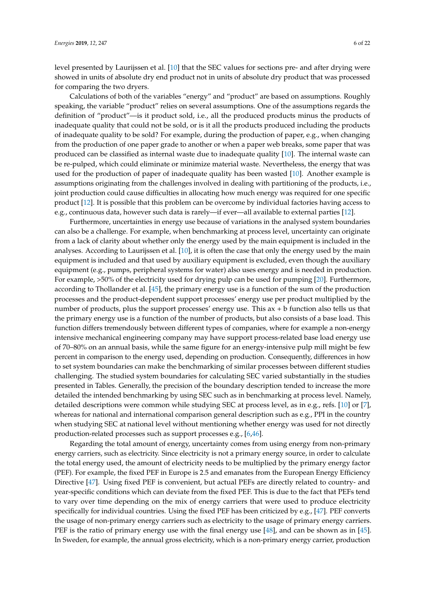level presented by Laurijssen et al. [\[10\]](#page-19-9) that the SEC values for sections pre- and after drying were showed in units of absolute dry end product not in units of absolute dry product that was processed for comparing the two dryers.

Calculations of both of the variables "energy" and "product" are based on assumptions. Roughly speaking, the variable "product" relies on several assumptions. One of the assumptions regards the definition of "product"—is it product sold, i.e., all the produced products minus the products of inadequate quality that could not be sold, or is it all the products produced including the products of inadequate quality to be sold? For example, during the production of paper, e.g., when changing from the production of one paper grade to another or when a paper web breaks, some paper that was produced can be classified as internal waste due to inadequate quality [\[10\]](#page-19-9). The internal waste can be re-pulped, which could eliminate or minimize material waste. Nevertheless, the energy that was used for the production of paper of inadequate quality has been wasted [\[10\]](#page-19-9). Another example is assumptions originating from the challenges involved in dealing with partitioning of the products, i.e., joint production could cause difficulties in allocating how much energy was required for one specific product [\[12\]](#page-19-11). It is possible that this problem can be overcome by individual factories having access to e.g., continuous data, however such data is rarely—if ever—all available to external parties [\[12\]](#page-19-11).

Furthermore, uncertainties in energy use because of variations in the analysed system boundaries can also be a challenge. For example, when benchmarking at process level, uncertainty can originate from a lack of clarity about whether only the energy used by the main equipment is included in the analyses. According to Laurijssen et al. [\[10\]](#page-19-9), it is often the case that only the energy used by the main equipment is included and that used by auxiliary equipment is excluded, even though the auxiliary equipment (e.g., pumps, peripheral systems for water) also uses energy and is needed in production. For example, >50% of the electricity used for drying pulp can be used for pumping [\[20\]](#page-19-19). Furthermore, according to Thollander et al. [\[45\]](#page-20-18), the primary energy use is a function of the sum of the production processes and the product-dependent support processes' energy use per product multiplied by the number of products, plus the support processes' energy use. This ax + b function also tells us that the primary energy use is a function of the number of products, but also consists of a base load. This function differs tremendously between different types of companies, where for example a non-energy intensive mechanical engineering company may have support process-related base load energy use of 70–80% on an annual basis, while the same figure for an energy-intensive pulp mill might be few percent in comparison to the energy used, depending on production. Consequently, differences in how to set system boundaries can make the benchmarking of similar processes between different studies challenging. The studied system boundaries for calculating SEC varied substantially in the studies presented in Tables. Generally, the precision of the boundary description tended to increase the more detailed the intended benchmarking by using SEC such as in benchmarking at process level. Namely, detailed descriptions were common while studying SEC at process level, as in e.g., refs. [\[10\]](#page-19-9) or [\[7\]](#page-19-6), whereas for national and international comparison general description such as e.g., PPI in the country when studying SEC at national level without mentioning whether energy was used for not directly production-related processes such as support processes e.g., [\[6](#page-19-5)[,46\]](#page-20-19).

Regarding the total amount of energy, uncertainty comes from using energy from non-primary energy carriers, such as electricity. Since electricity is not a primary energy source, in order to calculate the total energy used, the amount of electricity needs to be multiplied by the primary energy factor (PEF). For example, the fixed PEF in Europe is 2.5 and emanates from the European Energy Efficiency Directive [\[47\]](#page-20-20). Using fixed PEF is convenient, but actual PEFs are directly related to country- and year-specific conditions which can deviate from the fixed PEF. This is due to the fact that PEFs tend to vary over time depending on the mix of energy carriers that were used to produce electricity specifically for individual countries. Using the fixed PEF has been criticized by e.g., [\[47\]](#page-20-20). PEF converts the usage of non-primary energy carriers such as electricity to the usage of primary energy carriers. PEF is the ratio of primary energy use with the final energy use [\[48\]](#page-20-21), and can be shown as in [\[45\]](#page-20-18). In Sweden, for example, the annual gross electricity, which is a non-primary energy carrier, production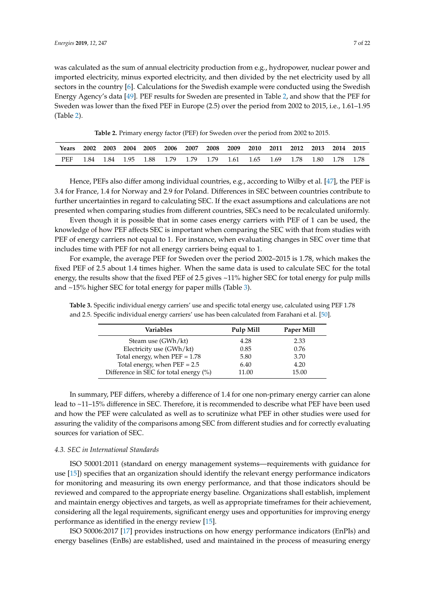was calculated as the sum of annual electricity production from e.g., hydropower, nuclear power and imported electricity, minus exported electricity, and then divided by the net electricity used by all sectors in the country [\[6\]](#page-19-5). Calculations for the Swedish example were conducted using the Swedish Energy Agency's data [\[49\]](#page-20-22). PEF results for Sweden are presented in Table [2,](#page-6-0) and show that the PEF for Sweden was lower than the fixed PEF in Europe (2.5) over the period from 2002 to 2015, i.e., 1.61–1.95 (Table [2\)](#page-6-0).

**Table 2.** Primary energy factor (PEF) for Sweden over the period from 2002 to 2015.

<span id="page-6-0"></span>

|     |  |  | Years 2002 2003 2004 2005 2006 2007 2008 2009 2010 2011 2012 2013 2014 2015 |  |  |  |  |  |
|-----|--|--|-----------------------------------------------------------------------------|--|--|--|--|--|
| PEF |  |  | 1.84 1.84 1.95 1.88 1.79 1.79 1.79 1.61 1.65 1.69 1.78 1.80 1.78 1.78       |  |  |  |  |  |

Hence, PEFs also differ among individual countries, e.g., according to Wilby et al. [\[47\]](#page-20-20), the PEF is 3.4 for France, 1.4 for Norway and 2.9 for Poland. Differences in SEC between countries contribute to further uncertainties in regard to calculating SEC. If the exact assumptions and calculations are not presented when comparing studies from different countries, SECs need to be recalculated uniformly.

Even though it is possible that in some cases energy carriers with PEF of 1 can be used, the knowledge of how PEF affects SEC is important when comparing the SEC with that from studies with PEF of energy carriers not equal to 1. For instance, when evaluating changes in SEC over time that includes time with PEF for not all energy carriers being equal to 1.

For example, the average PEF for Sweden over the period 2002–2015 is 1.78, which makes the fixed PEF of 2.5 about 1.4 times higher. When the same data is used to calculate SEC for the total energy, the results show that the fixed PEF of 2.5 gives ~11% higher SEC for total energy for pulp mills and ~15% higher SEC for total energy for paper mills (Table [3\)](#page-6-1).

| Variables                       | Pulp Mill | Paper Mill |
|---------------------------------|-----------|------------|
| Steam use (GWh/kt)              | 4.28      | 2.33       |
| Electricity use (GWh/kt)        | 0.85      | 0.76       |
| Total energy, when $PEF = 1.78$ | 5.80      | 3.70       |
| Total energy, when $PEF = 2.5$  | 6.40      | 4.20       |

Difference in SEC for total energy  $\frac{8}{2}$  11.00 15.00

<span id="page-6-1"></span>**Table 3.** Specific individual energy carriers' use and specific total energy use, calculated using PEF 1.78 and 2.5. Specific individual energy carriers' use has been calculated from Farahani et al. [\[50\]](#page-21-0).

In summary, PEF differs, whereby a difference of 1.4 for one non-primary energy carrier can alone lead to ~11–15% difference in SEC. Therefore, it is recommended to describe what PEF have been used and how the PEF were calculated as well as to scrutinize what PEF in other studies were used for assuring the validity of the comparisons among SEC from different studies and for correctly evaluating sources for variation of SEC.

#### *4.3. SEC in International Standards*

ISO 50001:2011 (standard on energy management systems—requirements with guidance for use [\[15\]](#page-19-14)) specifies that an organization should identify the relevant energy performance indicators for monitoring and measuring its own energy performance, and that those indicators should be reviewed and compared to the appropriate energy baseline. Organizations shall establish, implement and maintain energy objectives and targets, as well as appropriate timeframes for their achievement, considering all the legal requirements, significant energy uses and opportunities for improving energy performance as identified in the energy review [\[15\]](#page-19-14).

ISO 50006:2017 [\[17\]](#page-19-16) provides instructions on how energy performance indicators (EnPIs) and energy baselines (EnBs) are established, used and maintained in the process of measuring energy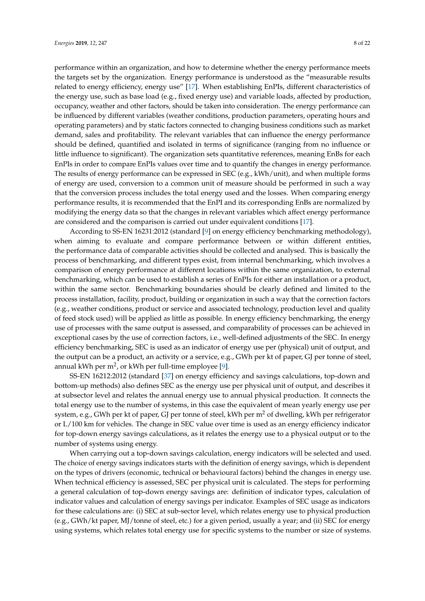performance within an organization, and how to determine whether the energy performance meets the targets set by the organization. Energy performance is understood as the "measurable results related to energy efficiency, energy use" [\[17\]](#page-19-16). When establishing EnPIs, different characteristics of the energy use, such as base load (e.g., fixed energy use) and variable loads, affected by production, occupancy, weather and other factors, should be taken into consideration. The energy performance can be influenced by different variables (weather conditions, production parameters, operating hours and operating parameters) and by static factors connected to changing business conditions such as market demand, sales and profitability. The relevant variables that can influence the energy performance should be defined, quantified and isolated in terms of significance (ranging from no influence or little influence to significant). The organization sets quantitative references, meaning EnBs for each EnPIs in order to compare EnPIs values over time and to quantify the changes in energy performance. The results of energy performance can be expressed in SEC (e.g., kWh/unit), and when multiple forms of energy are used, conversion to a common unit of measure should be performed in such a way that the conversion process includes the total energy used and the losses. When comparing energy performance results, it is recommended that the EnPI and its corresponding EnBs are normalized by modifying the energy data so that the changes in relevant variables which affect energy performance are considered and the comparison is carried out under equivalent conditions [\[17\]](#page-19-16).

According to SS-EN 16231:2012 (standard [\[9\]](#page-19-8) on energy efficiency benchmarking methodology), when aiming to evaluate and compare performance between or within different entities, the performance data of comparable activities should be collected and analysed. This is basically the process of benchmarking, and different types exist, from internal benchmarking, which involves a comparison of energy performance at different locations within the same organization, to external benchmarking, which can be used to establish a series of EnPIs for either an installation or a product, within the same sector. Benchmarking boundaries should be clearly defined and limited to the process installation, facility, product, building or organization in such a way that the correction factors (e.g., weather conditions, product or service and associated technology, production level and quality of feed stock used) will be applied as little as possible. In energy efficiency benchmarking, the energy use of processes with the same output is assessed, and comparability of processes can be achieved in exceptional cases by the use of correction factors, i.e., well-defined adjustments of the SEC. In energy efficiency benchmarking, SEC is used as an indicator of energy use per (physical) unit of output, and the output can be a product, an activity or a service, e.g., GWh per kt of paper, GJ per tonne of steel, annual kWh per m<sup>2</sup>, or kWh per full-time employee [\[9\]](#page-19-8).

SS-EN 16212:2012 (standard [\[37\]](#page-20-10) on energy efficiency and savings calculations, top-down and bottom-up methods) also defines SEC as the energy use per physical unit of output, and describes it at subsector level and relates the annual energy use to annual physical production. It connects the total energy use to the number of systems, in this case the equivalent of mean yearly energy use per system, e.g., GWh per kt of paper, GJ per tonne of steel, kWh per m<sup>2</sup> of dwelling, kWh per refrigerator or L/100 km for vehicles. The change in SEC value over time is used as an energy efficiency indicator for top-down energy savings calculations, as it relates the energy use to a physical output or to the number of systems using energy.

When carrying out a top-down savings calculation, energy indicators will be selected and used. The choice of energy savings indicators starts with the definition of energy savings, which is dependent on the types of drivers (economic, technical or behavioural factors) behind the changes in energy use. When technical efficiency is assessed, SEC per physical unit is calculated. The steps for performing a general calculation of top-down energy savings are: definition of indicator types, calculation of indicator values and calculation of energy savings per indicator. Examples of SEC usage as indicators for these calculations are: (i) SEC at sub-sector level, which relates energy use to physical production (e.g., GWh/kt paper, MJ/tonne of steel, etc.) for a given period, usually a year; and (ii) SEC for energy using systems, which relates total energy use for specific systems to the number or size of systems.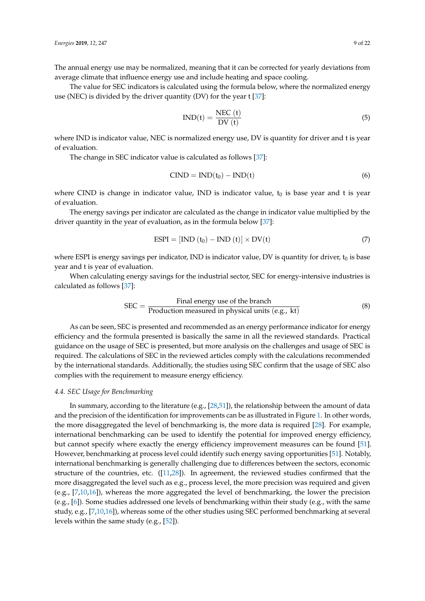The annual energy use may be normalized, meaning that it can be corrected for yearly deviations from average climate that influence energy use and include heating and space cooling.

The value for SEC indicators is calculated using the formula below, where the normalized energy use (NEC) is divided by the driver quantity (DV) for the year t [\[37\]](#page-20-10):

$$
IND(t) = \frac{NEC(t)}{DV(t)}
$$
\n(5)

where IND is indicator value, NEC is normalized energy use, DV is quantity for driver and t is year of evaluation.

The change in SEC indicator value is calculated as follows [\[37\]](#page-20-10):

$$
CIND = IND(t_0) - IND(t)
$$
 (6)

where CIND is change in indicator value, IND is indicator value,  $t_0$  is base year and t is year of evaluation.

The energy savings per indicator are calculated as the change in indicator value multiplied by the driver quantity in the year of evaluation, as in the formula below [\[37\]](#page-20-10):

$$
ESPI = [IND (t0) - IND (t)] \times DV(t)
$$
 (7)

where ESPI is energy savings per indicator, IND is indicator value, DV is quantity for driver,  $t_0$  is base year and t is year of evaluation.

When calculating energy savings for the industrial sector, SEC for energy-intensive industries is calculated as follows [\[37\]](#page-20-10):

$$
SEC = \frac{Final energy use of the branch}{Production measured in physical units (e.g., kt)}
$$
 (8)

As can be seen, SEC is presented and recommended as an energy performance indicator for energy efficiency and the formula presented is basically the same in all the reviewed standards. Practical guidance on the usage of SEC is presented, but more analysis on the challenges and usage of SEC is required. The calculations of SEC in the reviewed articles comply with the calculations recommended by the international standards. Additionally, the studies using SEC confirm that the usage of SEC also complies with the requirement to measure energy efficiency.

#### *4.4. SEC Usage for Benchmarking*

In summary, according to the literature (e.g., [\[28](#page-20-1)[,51\]](#page-21-1)), the relationship between the amount of data and the precision of the identification for improvements can be as illustrated in Figure [1.](#page-9-0) In other words, the more disaggregated the level of benchmarking is, the more data is required [\[28\]](#page-20-1). For example, international benchmarking can be used to identify the potential for improved energy efficiency, but cannot specify where exactly the energy efficiency improvement measures can be found [\[51\]](#page-21-1). However, benchmarking at process level could identify such energy saving opportunities [\[51\]](#page-21-1). Notably, international benchmarking is generally challenging due to differences between the sectors, economic structure of the countries, etc.  $([11,28])$  $([11,28])$  $([11,28])$  $([11,28])$ . In agreement, the reviewed studies confirmed that the more disaggregated the level such as e.g., process level, the more precision was required and given (e.g., [\[7,](#page-19-6)[10,](#page-19-9)[16\]](#page-19-15)), whereas the more aggregated the level of benchmarking, the lower the precision (e.g., [\[6\]](#page-19-5)). Some studies addressed one levels of benchmarking within their study (e.g., with the same study, e.g., [\[7](#page-19-6)[,10](#page-19-9)[,16\]](#page-19-15)), whereas some of the other studies using SEC performed benchmarking at several levels within the same study (e.g., [\[52\]](#page-21-2)).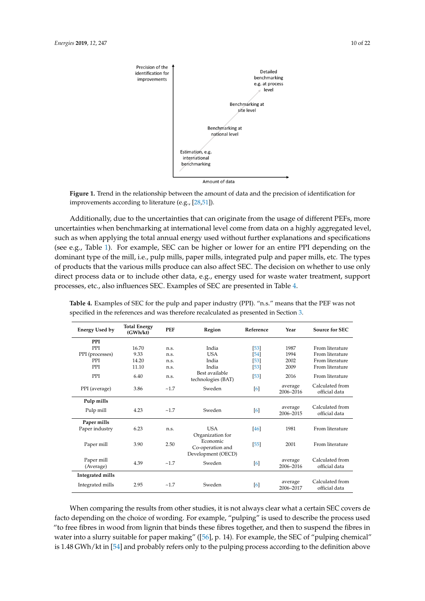<span id="page-9-0"></span>

**Figure 1.** Trend in the relationship between the amount of data and the precision of identification for improvements according to literature (e.g., [28,51]). improvements according to literature (e.g., [\[28](#page-20-1)[,51\]](#page-21-1)).

uncertainties when benchmarking at international level come from data on a highly aggregated level, such as when applying the total annual energy used without further explanations and specifications (see e.g., Table [1\)](#page-2-0). For example, SEC can be higher or lower for an entire PPI depending on the dominant type of the mill, i.e., pulp mills, paper mills, integrated pulp and paper mills, etc. The types of products that the various mills produce can also affect SEC. The decision on whether to use only direct process data or to include other data, e.g., energy used for waste water treatment, support  $\alpha$  direct processes deata, or to influence  $\frac{\text{CEC}}{\text{E}}$ , examples of  $\frac{\text{ECC}}{\text{E}}$  are processed in Table 4. processes, etc., also influences SEC. Examples of SEC are presented in Table 4. processes, etc., also influences SEC. Examples of SEC are presented in Table [4.](#page-9-1) Additionally, due to the uncertainties that can originate from the usage of different PEFs, more

| <b>Total Energy</b><br><b>Energy Used by</b><br>(GWh/kt) |       | PEF  | Region                                                                 | Reference        | Year                 | Source for SEC                   |
|----------------------------------------------------------|-------|------|------------------------------------------------------------------------|------------------|----------------------|----------------------------------|
| <b>PPI</b>                                               |       |      |                                                                        |                  |                      |                                  |
| PPI                                                      | 16.70 | n.s. | India                                                                  | $[53]$           | 1987                 | From literature                  |
| PPI (processes)                                          | 9.33  | n.s. | <b>USA</b>                                                             | $\sqrt{54}$      | 1994                 | From literature                  |
| <b>PPI</b>                                               | 14.20 | n.s. | India                                                                  | [53]             | 2002                 | From literature                  |
| <b>PPI</b>                                               | 11.10 | n.s. | India                                                                  | $\sqrt{53}$      | 2009                 | From literature                  |
| PPI                                                      | 6.40  | n.s. | Best available<br>technologies (BAT)                                   | $[53]$           | 2016                 | From literature                  |
| PPI (average)                                            | 3.86  | ~1.7 | Sweden                                                                 | $\left[6\right]$ | average<br>2006-2016 | Calculated from<br>official data |
| Pulp mills                                               |       |      |                                                                        |                  |                      |                                  |
| Pulp mill                                                | 4.23  | ~1.7 | Sweden                                                                 | $\left[6\right]$ | average<br>2006-2015 | Calculated from<br>official data |
| Paper mills                                              |       |      |                                                                        |                  |                      |                                  |
| Paper industry                                           | 6.23  | n.s. | <b>USA</b>                                                             | $[46]$           | 1981                 | From literature                  |
| Paper mill                                               | 3.90  | 2.50 | Organization for<br>Economic<br>Co-operation and<br>Development (OECD) | 55               | 2001                 | From literature                  |
| Paper mill<br>(Average)                                  | 4.39  | ~1.7 | Sweden                                                                 | [6]              | average<br>2006-2016 | Calculated from<br>official data |
| <b>Integrated mills</b>                                  |       |      |                                                                        |                  |                      |                                  |
| Integrated mills                                         | 2.95  | ~1.7 | Sweden                                                                 | $\left[6\right]$ | average<br>2006-2017 | Calculated from<br>official data |

<span id="page-9-1"></span>specified in the references and was therefore recalculated as presented in Section [3.](#page-2-1) **Table 4.** Examples of SEC for the pulp and paper industry (PPI). "n.s." means that the PEF was not

(Average 2006–2017) 4.39 % average 2006–2017) 4.39 % average 2006–2017 (Average 2006–2017) 4.39 % average 2006 When comparing the results from other studies, it is not always clear what a certain SEC covers de facto depending on the choice of wording. For example, "pulping" is used to describe the process used<br>" "to free fibres in wood from lignin that binds these fibres together, and then to suspend the fibres in water into a slurry suitable for paper making" ([\[56\]](#page-21-6), p. 14). For example, the SEC of "pulping chemical" is 1.48 GWh/kt in [\[54\]](#page-21-4) and probably refers only to the pulping process according to the definition above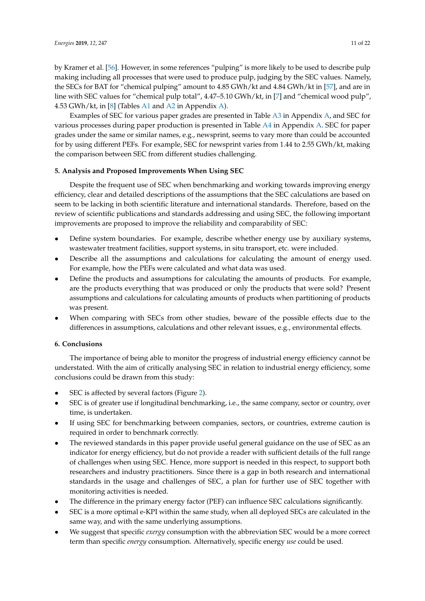by Kramer et al. [\[56\]](#page-21-6). However, in some references "pulping" is more likely to be used to describe pulp making including all processes that were used to produce pulp, judging by the SEC values. Namely, the SECs for BAT for "chemical pulping" amount to 4.85 GWh/kt and 4.84 GWh/kt in [\[57\]](#page-21-7), and are in line with SEC values for "chemical pulp total", 4.47–5.10 GWh/kt, in [\[7\]](#page-19-6) and "chemical wood pulp", 4.53 GWh/kt, in  $[8]$  (Tables [A1](#page-13-0) and [A2](#page-14-0) in Appendix [A\)](#page-12-0).

Examples of SEC for various paper grades are presented in Table [A3](#page-16-0) in Appendix [A,](#page-12-0) and SEC for various processes during paper production is presented in Table [A4](#page-18-0) in Appendix [A.](#page-12-0) SEC for paper grades under the same or similar names, e.g., newsprint, seems to vary more than could be accounted for by using different PEFs. For example, SEC for newsprint varies from 1.44 to 2.55 GWh/kt, making the comparison between SEC from different studies challenging.

# **5. Analysis and Proposed Improvements When Using SEC**

Despite the frequent use of SEC when benchmarking and working towards improving energy efficiency, clear and detailed descriptions of the assumptions that the SEC calculations are based on seem to be lacking in both scientific literature and international standards. Therefore, based on the review of scientific publications and standards addressing and using SEC, the following important improvements are proposed to improve the reliability and comparability of SEC:

- Define system boundaries. For example, describe whether energy use by auxiliary systems, wastewater treatment facilities, support systems, in situ transport, etc. were included.
- Describe all the assumptions and calculations for calculating the amount of energy used. For example, how the PEFs were calculated and what data was used.
- Define the products and assumptions for calculating the amounts of products. For example, are the products everything that was produced or only the products that were sold? Present assumptions and calculations for calculating amounts of products when partitioning of products was present.
- When comparing with SECs from other studies, beware of the possible effects due to the differences in assumptions, calculations and other relevant issues, e.g., environmental effects.

# **6. Conclusions**

The importance of being able to monitor the progress of industrial energy efficiency cannot be understated. With the aim of critically analysing SEC in relation to industrial energy efficiency, some conclusions could be drawn from this study:

- SEC is affected by several factors (Figure [2\)](#page-11-0).
- SEC is of greater use if longitudinal benchmarking, i.e., the same company, sector or country, over time, is undertaken.
- If using SEC for benchmarking between companies, sectors, or countries, extreme caution is required in order to benchmark correctly.
- The reviewed standards in this paper provide useful general guidance on the use of SEC as an indicator for energy efficiency, but do not provide a reader with sufficient details of the full range of challenges when using SEC. Hence, more support is needed in this respect, to support both researchers and industry practitioners. Since there is a gap in both research and international standards in the usage and challenges of SEC, a plan for further use of SEC together with monitoring activities is needed.
- The difference in the primary energy factor (PEF) can influence SEC calculations significantly.
- SEC is a more optimal e-KPI within the same study, when all deployed SECs are calculated in the same way, and with the same underlying assumptions.
- We suggest that specific *exergy* consumption with the abbreviation SEC would be a more correct term than specific *energy* consumption. Alternatively, specific energy *use* could be used.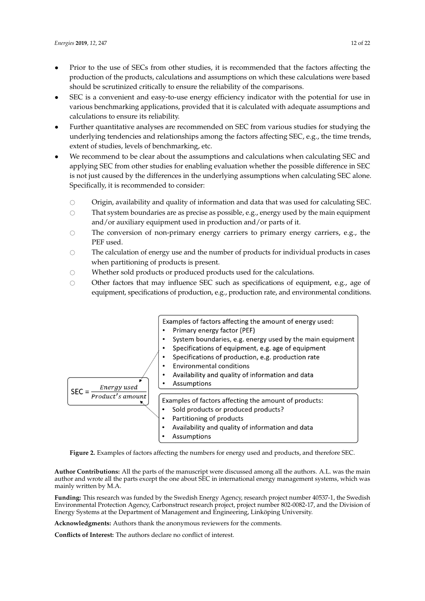- Prior to the use of SECs from other studies, it is recommended that the factors affecting the production of the products, calculations and assumptions on which these calculations were based should be scrutinized critically to ensure the reliability of the comparisons.
- SEC is a convenient and easy-to-use energy efficiency indicator with the potential for use in various benchmarking applications, provided that it is calculated with adequate assumptions and calculations to ensure its reliability.
- Further quantitative analyses are recommended on SEC from various studies for studying the underlying tendencies and relationships among the factors affecting SEC, e.g., the time trends, extent of studies, levels of benchmarking, etc.
- We recommend to be clear about the assumptions and calculations when calculating SEC and applying SEC from other studies for enabling evaluation whether the possible difference in SEC is not just caused by the differences in the underlying assumptions when calculating SEC alone. Specifically, it is recommended to consider:
	- O Origin, availability and quality of information and data that was used for calculating SEC.<br>
	That system boundaries are as precise as possible e  $\sigma$  energy used by the main equipment
	- That system boundaries are as precise as possible, e.g., energy used by the main equipment and/or auxiliary equipment used in production and/or parts of it.
	- $\circ$  The conversion of non-primary energy carriers to primary energy carriers, e.g., the PEF used.
	- $\circ$  The calculation of energy use and the number of products for individual products in cases when partitioning of products is present.
	- $\circ$  Whether sold products or produced products used for the calculations.
	- $\circ$  Other factors that may influence SEC such as specifications of equipment, e.g., age of equipment, specifications of production, e.g., production rate, and environmental conditions.

<span id="page-11-0"></span>

**Figure 2.** Examples of factors affecting the numbers for energy used and products, and therefore SEC. **Figure 2.** Examples of factors affecting the numbers for energy used and products, and therefore SEC.

**Author Contributions:** All the parts of the manuscript were discussed among all the authors. A.L. was the main author and wrote all the parts except the one about SEC in international energy management systems, which was<br>mainly written by M A mainly written by M.A.

**Funding:** This research was funded by the Swedish Energy Agency, research project number 40537-1, the Swedish Funding. This research was funded by the Swedish Energy Agency, research project number 802-0082-17, and the Division of Energy Systems at the Department of Management and Engineering, Linköping University.

Acknowledgments: Authors thank the anonymous reviewers for the comments.

**Conflicts of Interest:** The authors declare no conflict of interest. both researchers and industry practitioners. Since there is a gap in both research and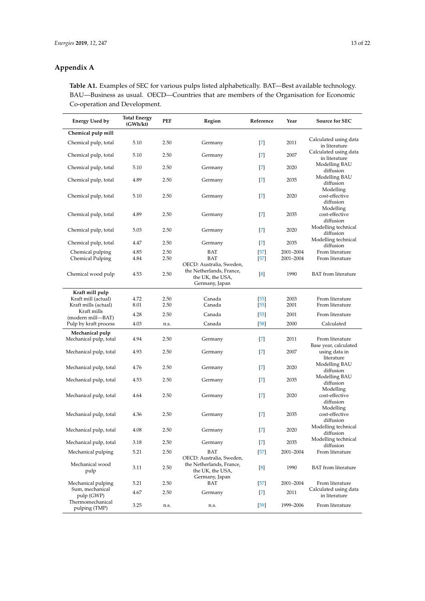<span id="page-12-0"></span>

| <b>Energy Used by</b>                       | Total Energy<br>(GWh/kt) | PEF          | Region                                                         | Reference         | Year         | <b>Source for SEC</b>                                |
|---------------------------------------------|--------------------------|--------------|----------------------------------------------------------------|-------------------|--------------|------------------------------------------------------|
| Chemical pulp mill                          |                          |              |                                                                |                   |              |                                                      |
| Chemical pulp, total                        | 5.10                     | 2.50         | Germany                                                        | $[7]$             | 2011         | Calculated using data<br>in literature               |
| Chemical pulp, total                        | 5.10                     | 2.50         | Germany                                                        | $[7]$             | 2007         | Calculated using data<br>in literature               |
| Chemical pulp, total                        | 5.10                     | 2.50         | Germany                                                        | $[7]$             | 2020         | Modelling BAU<br>diffusion                           |
| Chemical pulp, total                        | 4.89                     | 2.50         | Germany                                                        | $[7]$             | 2035         | Modelling BAU<br>diffusion                           |
| Chemical pulp, total                        | 5.10                     | 2.50         | Germany                                                        | $[7]$             | 2020         | Modelling<br>cost-effective<br>diffusion             |
| Chemical pulp, total                        | 4.89                     | 2.50         | Germany                                                        | $[7]$             | 2035         | Modelling<br>cost-effective<br>diffusion             |
| Chemical pulp, total                        | 5.03                     | 2.50         | Germany                                                        | $[7]$             | 2020         | Modelling technical<br>diffusion                     |
| Chemical pulp, total                        | 4.47                     | 2.50         | Germany                                                        | $[7]$             | 2035         | Modelling technical<br>diffusion                     |
| Chemical pulping                            | 4.85                     | 2.50         | BAT                                                            | 57                | 2001-2004    | From literature                                      |
| Chemical Pulping                            | 4.84                     | 2.50         | BAT<br>OECD: Australia, Sweden,                                | [57]              | 2001-2004    | From literature                                      |
| Chemical wood pulp                          | 4.53                     | 2.50         | the Netherlands, France,<br>the UK, the USA,<br>Germany, Japan | $\lceil 8 \rceil$ | 1990         | <b>BAT</b> from literature                           |
| Kraft mill pulp                             |                          |              |                                                                |                   |              |                                                      |
| Kraft mill (actual)<br>Kraft mills (actual) | 4.72<br>8.01             | 2.50<br>2.50 | Canada<br>Canada                                               | $[55]$<br>$[55]$  | 2003<br>2001 | From literature<br>From literature                   |
| Kraft mills<br>(modern mill-BAT)            | 4.28                     | 2.50         | Canada                                                         | $[55]$            | 2001         | From literature                                      |
| Pulp by kraft process                       | 4.03                     | n.s.         | Canada                                                         | 58                | 2000         | Calculated                                           |
| Mechanical pulp<br>Mechanical pulp, total   | 4.94                     | 2.50         | Germany                                                        | $[7]$             | 2011         | From literature                                      |
| Mechanical pulp, total                      | 4.93                     | 2.50         | Germany                                                        | $[7]$             | 2007         | Base year, calculated<br>using data in<br>literature |
| Mechanical pulp, total                      | 4.76                     | 2.50         | Germany                                                        | $[7]$             | 2020         | Modelling BAU<br>diffusion                           |
| Mechanical pulp, total                      | 4.53                     | 2.50         | Germany                                                        | $[7]$             | 2035         | Modelling BAU<br>diffusion<br>Modelling              |
| Mechanical pulp, total                      | 4.64                     | 2.50         | Germany                                                        | $[7]$             | 2020         | cost-effective<br>diffusion                          |
| Mechanical pulp, total                      | 4.36                     | 2.50         | Germany                                                        | $[7]$             | 2035         | Modelling<br>cost-effective<br>diffusion             |
| Mechanical pulp, total                      | 4.08                     | 2.50         | Germany                                                        | $[7]$             | 2020         | Modelling technical<br>diffusion                     |
| Mechanical pulp, total                      | 3.18                     | 2.50         | Germany                                                        | $[7]$             | 2035         | Modelling technical<br>diffusion                     |
| Mechanical pulping                          | 5.21                     | 2.50         | BAT<br>OECD: Australia, Sweden,                                | $[57]$            | 2001-2004    | From literature                                      |
| Mechanical wood<br>pulp                     | 3.11                     | 2.50         | the Netherlands, France,<br>the UK, the USA,                   | [8]               | 1990         | <b>BAT</b> from literature                           |
| Mechanical pulping                          | 5.21                     | 2.50         | Germany, Japan<br>BAT                                          | [57]              | 2001-2004    | From literature                                      |
| Sum, mechanical<br>pulp (GWP)               | 4.67                     | 2.50         | Germany                                                        | $[7]$             | 2011         | Calculated using data<br>in literature               |
| Thermomechanical<br>pulping (TMP)           | 3.25                     | n.s.         | n.s.                                                           | [59]              | 1999-2006    | From literature                                      |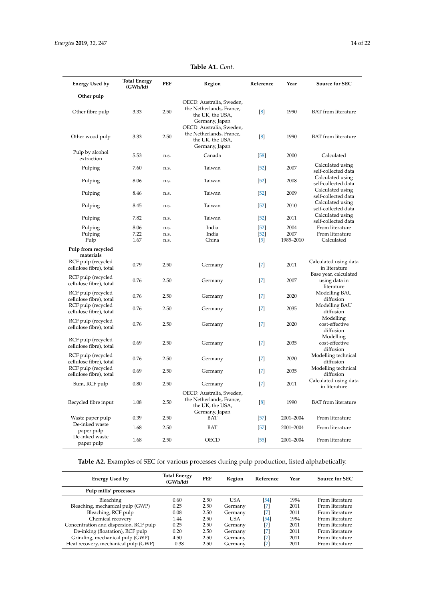<span id="page-13-0"></span>

| <b>Energy Used by</b>                                                            | <b>Total Energy</b><br>(GWh/kt) | PEF  | Region                                                                                                                 | Reference         | Year      | <b>Source for SEC</b>                                |
|----------------------------------------------------------------------------------|---------------------------------|------|------------------------------------------------------------------------------------------------------------------------|-------------------|-----------|------------------------------------------------------|
| Other pulp                                                                       |                                 |      |                                                                                                                        |                   |           |                                                      |
| Other fibre pulp                                                                 | 3.33                            | 2.50 | OECD: Australia, Sweden,<br>the Netherlands, France,<br>the UK, the USA,<br>Germany, Japan<br>OECD: Australia, Sweden, | $\lceil 8 \rceil$ | 1990      | <b>BAT</b> from literature                           |
| Other wood pulp                                                                  | 3.33                            | 2.50 | the Netherlands, France,<br>the UK, the USA,<br>Germany, Japan                                                         | $\lceil 8 \rceil$ | 1990      | <b>BAT</b> from literature                           |
| Pulp by alcohol<br>extraction                                                    | 5.53                            | n.s. | Canada                                                                                                                 | 58                | 2000      | Calculated                                           |
| Pulping                                                                          | 7.60                            | n.s. | Taiwan                                                                                                                 | $[52]$            | 2007      | Calculated using<br>self-collected data              |
| Pulping                                                                          | 8.06                            | n.s. | Taiwan                                                                                                                 | $[52]$            | 2008      | Calculated using<br>self-collected data              |
| Pulping                                                                          | 8.46                            | n.s. | Taiwan                                                                                                                 | $[52]$            | 2009      | Calculated using<br>self-collected data              |
| Pulping                                                                          | 8.45                            | n.s. | Taiwan                                                                                                                 | $\sqrt{52}$       | 2010      | Calculated using<br>self-collected data              |
| Pulping                                                                          | 7.82                            | n.s. | Taiwan                                                                                                                 | $[52]$            | 2011      | Calculated using<br>self-collected data              |
| Pulping                                                                          | 8.06                            | n.s. | India                                                                                                                  | $[52]$            | 2004      | From literature                                      |
| Pulping                                                                          | 7.22                            | n.s. | India                                                                                                                  | $[52]$            | 2007      | From literature                                      |
| Pulp                                                                             | 1.67                            | n.s. | China                                                                                                                  | $\left[5\right]$  | 1985-2010 | Calculated                                           |
| Pulp from recycled<br>materials<br>RCF pulp (recycled<br>cellulose fibre), total | 0.79                            | 2.50 | Germany                                                                                                                | $[7]$             | 2011      | Calculated using data<br>in literature               |
| RCF pulp (recycled<br>cellulose fibre), total                                    | 0.76                            | 2.50 | Germany                                                                                                                | $[7]$             | 2007      | Base year, calculated<br>using data in<br>literature |
| RCF pulp (recycled<br>cellulose fibre), total                                    | 0.76                            | 2.50 | Germany                                                                                                                | $[7]$             | 2020      | Modelling BAU<br>diffusion                           |
| RCF pulp (recycled<br>cellulose fibre), total                                    | 0.76                            | 2.50 | Germany                                                                                                                | $[7]$             | 2035      | Modelling BAU<br>diffusion                           |
| RCF pulp (recycled<br>cellulose fibre), total                                    | 0.76                            | 2.50 | Germany                                                                                                                | $[7]$             | 2020      | Modelling<br>cost-effective<br>diffusion             |
| RCF pulp (recycled<br>cellulose fibre), total                                    | 0.69                            | 2.50 | Germany                                                                                                                | $[7]$             | 2035      | Modelling<br>cost-effective<br>diffusion             |
| RCF pulp (recycled<br>cellulose fibre), total                                    | 0.76                            | 2.50 | Germany                                                                                                                | $[7]$             | 2020      | Modelling technical<br>diffusion                     |
| RCF pulp (recycled<br>cellulose fibre), total                                    | 0.69                            | 2.50 | Germany                                                                                                                | $[7]$             | 2035      | Modelling technical<br>diffusion                     |
| Sum, RCF pulp                                                                    | 0.80                            | 2.50 | Germany                                                                                                                | $[7]$             | 2011      | Calculated using data<br>in literature               |
| Recycled fibre input                                                             | 1.08                            | 2.50 | OECD: Australia, Sweden,<br>the Netherlands, France,<br>the UK, the USA,<br>Germany, Japan                             | $\left[8\right]$  | 1990      | <b>BAT</b> from literature                           |
| Waste paper pulp                                                                 | 0.39                            | 2.50 | <b>BAT</b>                                                                                                             | $[57]$            | 2001-2004 | From literature                                      |
| De-inked waste<br>paper pulp                                                     | 1.68                            | 2.50 | BAT                                                                                                                    | $[57]$            | 2001-2004 | From literature                                      |
| De-inked waste<br>paper pulp                                                     | 1.68                            | 2.50 | OECD                                                                                                                   | $[55]$            | 2001-2004 | From literature                                      |

**Table A1.** *Cont.*

# **Table A2.** Examples of SEC for various processes during pulp production, listed alphabetically.

| <b>Energy Used by</b>                  | <b>Total Energy</b><br>(GWh/kt) | <b>PEF</b> | Region     | Reference | Year | Source for SEC  |
|----------------------------------------|---------------------------------|------------|------------|-----------|------|-----------------|
| Pulp mills' processes                  |                                 |            |            |           |      |                 |
| Bleaching                              | 0.60                            | 2.50       | <b>USA</b> | [54]      | 1994 | From literature |
| Bleaching, mechanical pulp (GWP)       | 0.25                            | 2.50       | Germany    | 7         | 2011 | From literature |
| Bleaching, RCF pulp                    | 0.08                            | 2.50       | Germany    | [7]       | 2011 | From literature |
| Chemical recovery                      | 1.44                            | 2.50       | <b>USA</b> | [54]      | 1994 | From literature |
| Concentration and dispersion, RCF pulp | 0.25                            | 2.50       | Germany    | 7         | 2011 | From literature |
| De-inking (floatation), RCF pulp       | 0.20                            | 2.50       | Germany    | 7         | 2011 | From literature |
| Grinding, mechanical pulp (GWP)        | 4.50                            | 2.50       | Germany    | 7         | 2011 | From literature |
| Heat recovery, mechanical pulp (GWP)   | $-0.38$                         | 2.50       | Germany    | 17        | 2011 | From literature |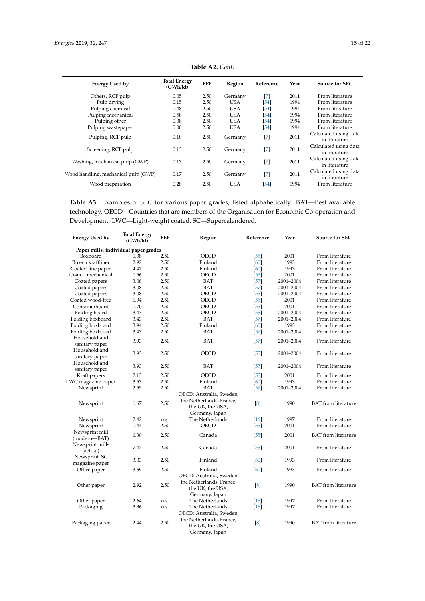<span id="page-14-0"></span>

| <b>Energy Used by</b>                | <b>Total Energy</b><br>(GWh/kt) | PEF  | Region     | Reference | Year | Source for SEC                         |
|--------------------------------------|---------------------------------|------|------------|-----------|------|----------------------------------------|
| Others, RCF pulp                     | 0.05                            | 2.50 | Germany    | $[7]$     | 2011 | From literature                        |
| Pulp drying                          | 0.15                            | 2.50 | <b>USA</b> | [54]      | 1994 | From literature                        |
| Pulping chemical                     | 1.48                            | 2.50 | <b>USA</b> | [54]      | 1994 | From literature                        |
| Pulping mechanical                   | 0.58                            | 2.50 | <b>USA</b> | [54]      | 1994 | From literature                        |
| Pulping other                        | 0.08                            | 2.50 | <b>USA</b> | [54]      | 1994 | From literature                        |
| Pulping wastepaper                   | 0.00                            | 2.50 | <b>USA</b> | [54]      | 1994 | From literature                        |
| Pulping, RCF pulp                    | 0.10                            | 2.50 | Germany    | $[7]$     | 2011 | Calculated using data<br>in literature |
| Screening, RCF pulp                  | 0.13                            | 2.50 | Germany    | $[7]$     | 2011 | Calculated using data<br>in literature |
| Washing, mechanical pulp (GWP)       | 0.13                            | 2.50 | Germany    | $[7]$     | 2011 | Calculated using data<br>in literature |
| Wood handling, mechanical pulp (GWP) | 0.17                            | 2.50 | Germany    | [7]       | 2011 | Calculated using data<br>in literature |
| Wood preparation                     | 0.28                            | 2.50 | <b>USA</b> | [54]      | 1994 | From literature                        |

**Table A2.** *Cont.*

**Table A3.** Examples of SEC for various paper grades, listed alphabetically. BAT—Best available technology. OECD—Countries that are members of the Organisation for Economic Co-operation and Development. LWC—Light-weight coated. SC—Supercalendered.

| <b>Energy Used by</b>                | <b>Total Energy</b><br>(GWh/kt) | PEF  | Region                                               | Reference         | Year      | Source for SEC             |
|--------------------------------------|---------------------------------|------|------------------------------------------------------|-------------------|-----------|----------------------------|
| Paper mills: individual paper grades |                                 |      |                                                      |                   |           |                            |
| Boxboard                             | 1.38                            | 2.50 | <b>OECD</b>                                          | [55]              | 2001      | From literature            |
| Brown kraftliner                     | 2.92                            | 2.50 | Finland                                              | [60]              | 1993      | From literature            |
| Coated fine paper                    | 4.47                            | 2.50 | Finland                                              | [60]              | 1993      | From literature            |
| Coated mechanical                    | 1.56                            | 2.50 | <b>OECD</b>                                          | $[55]$            | 2001      | From literature            |
| Coated papers                        | 3.08                            | 2.50 | <b>BAT</b>                                           | [57]              | 2001-2004 | From literature            |
| Coated papers                        | 3.08                            | 2.50 | <b>BAT</b>                                           | [57]              | 2001-2004 | From literature            |
| Coated papers                        | 3.08                            | 2.50 | <b>OECD</b>                                          | 55                | 2001-2004 | From literature            |
| Coated wood-free                     | 1.94                            | 2.50 | <b>OECD</b>                                          | $[55]$            | 2001      | From literature            |
| Containerboard                       | 1.70                            | 2.50 | <b>OECD</b>                                          | $[55]$            | 2001      | From literature            |
| Folding board                        | 3.43                            | 2.50 | <b>OECD</b>                                          | $[55]$            | 2001-2004 | From literature            |
| Folding boxboard                     | 3.43                            | 2.50 | <b>BAT</b>                                           | $[57]$            | 2001-2004 | From literature            |
| Folding boxboard                     | 3.94                            | 2.50 | Finland                                              | [60]              | 1993      | From literature            |
| Folding boxboard                     | 3.43                            | 2.50 | <b>BAT</b>                                           | [57]              | 2001-2004 | From literature            |
| Household and                        |                                 |      |                                                      |                   |           |                            |
| sanitary paper                       | 3.93                            | 2.50 | <b>BAT</b>                                           | $[57]$            | 2001-2004 | From literature            |
| Household and                        |                                 |      |                                                      |                   |           |                            |
| sanitary paper                       | 3.93                            | 2.50 | <b>OECD</b>                                          | $[55]$            | 2001-2004 | From literature            |
| Household and                        |                                 |      |                                                      |                   |           |                            |
| sanitary paper                       | 3.93                            | 2.50 | <b>BAT</b>                                           | [57]              | 2001-2004 | From literature            |
| Kraft papers                         | 2.13                            | 2.50 | <b>OECD</b>                                          | [55]              | 2001      | From literature            |
| LWC magazine paper                   | 3.53                            | 2.50 | Finland                                              | <b>60</b>         | 1993      | From literature            |
| Newsprint                            | 2.55                            | 2.50 | <b>BAT</b>                                           | [57]              | 2001-2004 | From literature            |
|                                      |                                 |      | OECD: Australia, Sweden,<br>the Netherlands, France, |                   |           |                            |
| Newsprint                            | 1.67                            | 2.50 | the UK, the USA,                                     | $\lceil 8 \rceil$ | 1990      | <b>BAT</b> from literature |
|                                      |                                 |      | Germany, Japan                                       |                   |           |                            |
| Newsprint                            | 2.42                            | n.s. | The Netherlands                                      | [16]              | 1997      | From literature            |
| Newsprint                            | 1.44                            | 2.50 | <b>OECD</b>                                          | $[55]$            | 2001      | From literature            |
| Newsprint mill                       | 6.30                            | 2.50 | Canada                                               | $[55]$            | 2001      | <b>BAT</b> from literature |
| (modern-BAT)                         |                                 |      |                                                      |                   |           |                            |
| Newsprint mills<br>(actual)          | 7.47                            | 2.50 | Canada                                               | $[55]$            | 2001      | From literature            |
| Newsprint, SC<br>magazine paper      | 3.03                            | 2.50 | Finland                                              | [60]              | 1993      | From literature            |
| Office paper                         | 3.69                            | 2.50 | Finland                                              | [60]              | 1993      | From literature            |
|                                      |                                 |      | OECD: Australia, Sweden,                             |                   |           |                            |
| Other paper                          | 2.92                            | 2.50 | the Netherlands, France,<br>the UK, the USA,         | [8]               | 1990      | <b>BAT</b> from literature |
|                                      |                                 |      | Germany, Japan                                       |                   |           |                            |
| Other paper                          | 2.64                            | n.s. | The Netherlands                                      | [16]              | 1997      | From literature            |
| Packaging                            | 3.36                            | n.s. | The Netherlands                                      | [16]              | 1997      | From literature            |
|                                      |                                 |      | OECD: Australia, Sweden,                             |                   |           |                            |
| Packaging paper                      | 2.44                            | 2.50 | the Netherlands, France,                             | $\lceil 8 \rceil$ | 1990      | <b>BAT</b> from literature |
|                                      |                                 |      | the UK, the USA,                                     |                   |           |                            |
|                                      |                                 |      | Germany, Japan                                       |                   |           |                            |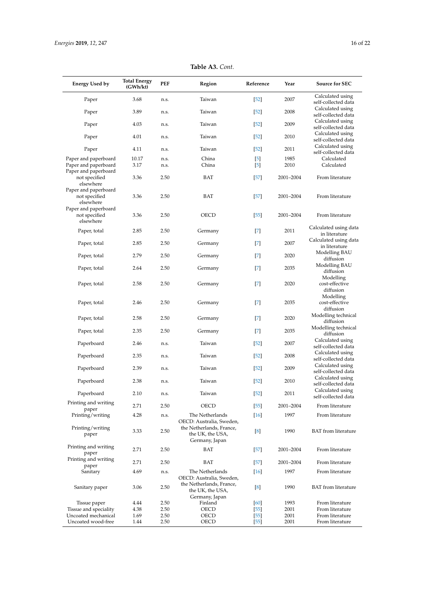| <b>Energy Used by</b>                              | <b>Total Energy</b><br>(GWh/kt) | PEF          | Region                                                         | Reference         | Year         | Source for SEC                           |
|----------------------------------------------------|---------------------------------|--------------|----------------------------------------------------------------|-------------------|--------------|------------------------------------------|
| Paper                                              | 3.68                            | n.s.         | Taiwan                                                         | $\sqrt{52}$       | 2007         | Calculated using<br>self-collected data  |
| Paper                                              | 3.89                            | n.s.         | Taiwan                                                         | $\sqrt{52}$       | 2008         | Calculated using<br>self-collected data  |
| Paper                                              | 4.03                            | n.s.         | Taiwan                                                         | $\sqrt{52}$       | 2009         | Calculated using<br>self-collected data  |
| Paper                                              | 4.01                            | n.s.         | Taiwan                                                         | $\sqrt{52}$       | 2010         | Calculated using<br>self-collected data  |
| Paper                                              | 4.11                            | n.s.         | Taiwan                                                         | [52]              | 2011         | Calculated using<br>self-collected data  |
| Paper and paperboard                               | 10.17                           | n.s.         | China                                                          | $\lceil 5 \rceil$ | 1985         | Calculated                               |
| Paper and paperboard<br>Paper and paperboard       | 3.17                            | n.s.         | China                                                          | $\lceil 5 \rceil$ | 2010         | Calculated                               |
| not specified<br>elsewhere                         | 3.36                            | 2.50         | <b>BAT</b>                                                     | $[57]$            | 2001-2004    | From literature                          |
| Paper and paperboard<br>not specified<br>elsewhere | 3.36                            | 2.50         | <b>BAT</b>                                                     | $[57]$            | 2001-2004    | From literature                          |
| Paper and paperboard<br>not specified<br>elsewhere | 3.36                            | 2.50         | OECD                                                           | $[55]$            | 2001-2004    | From literature                          |
| Paper, total                                       | 2.85                            | 2.50         | Germany                                                        | $[7]$             | 2011         | Calculated using data<br>in literature   |
| Paper, total                                       | 2.85                            | 2.50         | Germany                                                        | $[7]$             | 2007         | Calculated using data<br>in literature   |
| Paper, total                                       | 2.79                            | 2.50         | Germany                                                        | $\lceil 7 \rceil$ | 2020         | Modelling BAU<br>diffusion               |
| Paper, total                                       | 2.64                            | 2.50         | Germany                                                        | $[7]$             | 2035         | Modelling BAU<br>diffusion<br>Modelling  |
| Paper, total                                       | 2.58                            | 2.50         | Germany                                                        | $[7]$             | 2020         | cost-effective<br>diffusion              |
| Paper, total                                       | 2.46                            | 2.50         | Germany                                                        | $[7]$             | 2035         | Modelling<br>cost-effective<br>diffusion |
| Paper, total                                       | 2.58                            | 2.50         | Germany                                                        | $[7]$             | 2020         | Modelling technical<br>diffusion         |
| Paper, total                                       | 2.35                            | 2.50         | Germany                                                        | $[7]$             | 2035         | Modelling technical<br>diffusion         |
| Paperboard                                         | 2.46                            | n.s.         | Taiwan                                                         | [52]              | 2007         | Calculated using<br>self-collected data  |
| Paperboard                                         | 2.35                            | n.s.         | Taiwan                                                         | $\sqrt{52}$       | 2008         | Calculated using<br>self-collected data  |
| Paperboard                                         | 2.39                            | n.s.         | Taiwan                                                         | $\sqrt{52}$       | 2009         | Calculated using<br>self-collected data  |
| Paperboard                                         | 2.38                            | n.s.         | Taiwan                                                         | $\sqrt{52}$       | 2010         | Calculated using<br>self-collected data  |
| Paperboard                                         | 2.10                            | n.s.         | Taiwan                                                         | [52]              | 2011         | Calculated using<br>self-collected data  |
| Printing and writing<br>paper                      | 2.71                            | 2.50         | <b>OECD</b>                                                    | $[55]$            | 2001-2004    | From literature                          |
| Printing/writing                                   | 4.28                            | n.s.         | The Netherlands<br>OECD: Australia, Sweden,                    | $[16]$            | 1997         | From literature                          |
| Printing/writing<br>paper                          | 3.33                            | 2.50         | the Netherlands, France,<br>the UK, the USA,<br>Germany, Japan | [8]               | 1990         | <b>BAT</b> from literature               |
| Printing and writing<br>paper                      | 2.71                            | 2.50         | <b>BAT</b>                                                     | $[57]$            | 2001-2004    | From literature                          |
| Printing and writing<br>paper                      | 2.71                            | 2.50         | BAT                                                            | $[57]$            | 2001-2004    | From literature                          |
| Sanitary                                           | 4.69                            | n.s.         | The Netherlands<br>OECD: Australia, Sweden,                    | $[16]$            | 1997         | From literature                          |
| Sanitary paper                                     | 3.06                            | 2.50         | the Netherlands, France,<br>the UK, the USA,<br>Germany, Japan | [8]               | 1990         | <b>BAT</b> from literature               |
| Tissue paper                                       | 4.44                            | 2.50         | Finland                                                        | [60]              | 1993         | From literature                          |
| Tissue and speciality                              | 4.38                            | 2.50         | <b>OECD</b>                                                    | $[55]$            | 2001         | From literature                          |
| Uncoated mechanical<br>Uncoated wood-free          | 1.69<br>1.44                    | 2.50<br>2.50 | OECD<br>OECD                                                   | $[55]$<br>$[55]$  | 2001<br>2001 | From literature<br>From literature       |

**Table A3.** *Cont.*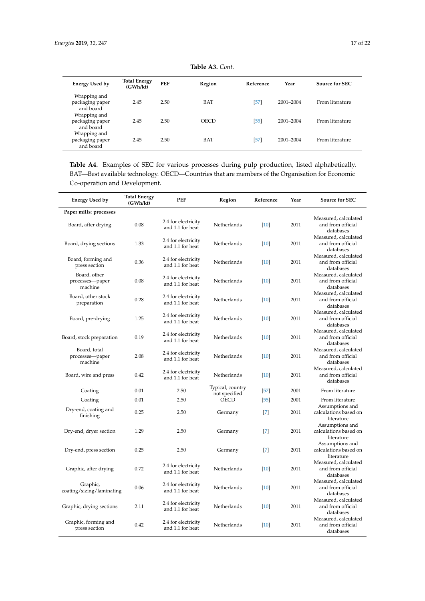<span id="page-16-0"></span>

| <b>Energy Used by</b>                        | <b>Total Energy</b><br>(GWh/kt) | PEF  | Region      | Reference | Year      | Source for SEC  |
|----------------------------------------------|---------------------------------|------|-------------|-----------|-----------|-----------------|
| Wrapping and<br>packaging paper<br>and board | 2.45                            | 2.50 | <b>BAT</b>  | [57]      | 2001-2004 | From literature |
| Wrapping and<br>packaging paper<br>and board | 2.45                            | 2.50 | <b>OECD</b> | 55        | 2001-2004 | From literature |
| Wrapping and<br>packaging paper<br>and board | 2.45                            | 2.50 | <b>BAT</b>  | [57]      | 2001-2004 | From literature |

**Table A3.** *Cont.*

**Table A4.** Examples of SEC for various processes during pulp production, listed alphabetically. BAT—Best available technology. OECD—Countries that are members of the Organisation for Economic Co-operation and Development.

| <b>Energy Used by</b>                      | <b>Total Energy</b><br>(GWh/kt) | <b>PEF</b>                              | Region                       | Reference                                                                                                                                                                                           | Year | <b>Source for SEC</b>                                  |
|--------------------------------------------|---------------------------------|-----------------------------------------|------------------------------|-----------------------------------------------------------------------------------------------------------------------------------------------------------------------------------------------------|------|--------------------------------------------------------|
| Paper mills: processes                     |                                 |                                         |                              |                                                                                                                                                                                                     |      |                                                        |
| Board, after drying                        | 0.08                            | 2.4 for electricity<br>and 1.1 for heat | Netherlands                  | $\lceil 10 \rceil$                                                                                                                                                                                  | 2011 | Measured, calculated<br>and from official<br>databases |
| Board, drying sections                     | 1.33                            | 2.4 for electricity<br>and 1.1 for heat | Netherlands                  | $[10]$                                                                                                                                                                                              | 2011 | Measured, calculated<br>and from official<br>databases |
| Board, forming and<br>press section        | 0.36                            | 2.4 for electricity<br>and 1.1 for heat | Netherlands                  | $\lceil 10 \rceil$                                                                                                                                                                                  | 2011 | Measured, calculated<br>and from official<br>databases |
| Board, other<br>processes-paper<br>machine | 0.08                            | 2.4 for electricity<br>and 1.1 for heat | Netherlands                  | $[10]$                                                                                                                                                                                              | 2011 | Measured, calculated<br>and from official<br>databases |
| Board, other stock<br>preparation          | 0.28                            | 2.4 for electricity<br>and 1.1 for heat | Netherlands                  | $[10]$                                                                                                                                                                                              | 2011 | Measured, calculated<br>and from official<br>databases |
| Board, pre-drying                          | 1.25                            | 2.4 for electricity<br>and 1.1 for heat | Netherlands                  | $[10]$                                                                                                                                                                                              | 2011 | Measured, calculated<br>and from official<br>databases |
| Board, stock preparation                   | 0.19                            | 2.4 for electricity<br>and 1.1 for heat | Netherlands                  | $[10]$                                                                                                                                                                                              | 2011 | Measured, calculated<br>and from official<br>databases |
| Board, total<br>processes-paper<br>machine | 2.08                            | 2.4 for electricity<br>and 1.1 for heat | Netherlands                  | $\lceil 10 \rceil$                                                                                                                                                                                  | 2011 | Measured, calculated<br>and from official<br>databases |
| Board, wire and press                      | 0.42                            | 2.4 for electricity<br>and 1.1 for heat | Netherlands                  | $\lceil 10 \rceil$                                                                                                                                                                                  | 2011 | Measured, calculated<br>and from official<br>databases |
| Coating                                    | 0.01                            | 2.50                                    | Typical, country             | $[57]$                                                                                                                                                                                              | 2001 | From literature                                        |
| Coating                                    | 0.01                            | 2.50                                    | not specified<br><b>OECD</b> | [55]                                                                                                                                                                                                | 2001 | From literature                                        |
| Dry-end, coating and<br>finishing          | 0.25                            | 2.50                                    | Germany                      | $[7] \centering% \includegraphics[width=1\textwidth]{images/TransY.pdf} \caption{The first two different values of $d=3$ and $d=4$ (left) and $d=5$ (right) and $d=6$ (right). } \label{fig:class}$ | 2011 | Assumptions and<br>calculations based on<br>literature |
| Dry-end, dryer section                     | 1.29                            | 2.50                                    | Germany                      |                                                                                                                                                                                                     | 2011 | Assumptions and<br>calculations based on<br>literature |
| Dry-end, press section                     | 0.25                            | 2.50                                    | Germany                      | $[7]$                                                                                                                                                                                               | 2011 | Assumptions and<br>calculations based on<br>literature |
| Graphic, after drying                      | 0.72                            | 2.4 for electricity<br>and 1.1 for heat | Netherlands                  | $[10]$                                                                                                                                                                                              | 2011 | Measured, calculated<br>and from official<br>databases |
| Graphic,<br>coating/sizing/laminating      | 0.06                            | 2.4 for electricity<br>and 1.1 for heat | Netherlands                  | $\lceil 10 \rceil$                                                                                                                                                                                  | 2011 | Measured, calculated<br>and from official<br>databases |
| Graphic, drying sections                   | 2.11                            | 2.4 for electricity<br>and 1.1 for heat | Netherlands                  | $[10]$                                                                                                                                                                                              | 2011 | Measured, calculated<br>and from official<br>databases |
| Graphic, forming and<br>press section      | 0.42                            | 2.4 for electricity<br>and 1.1 for heat | Netherlands                  | $[10]$                                                                                                                                                                                              | 2011 | Measured, calculated<br>and from official<br>databases |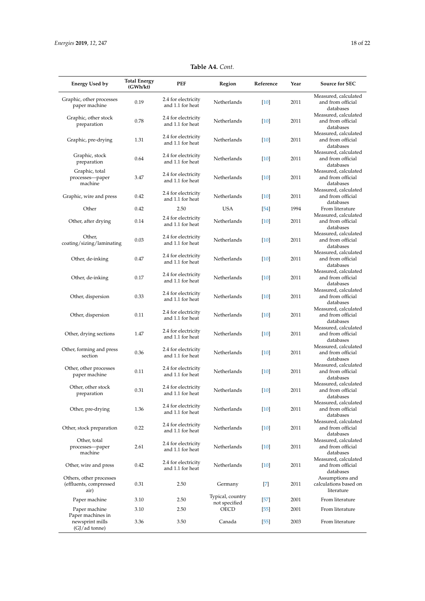| <b>Energy Used by</b>                                     | <b>Total Energy</b><br>(GWh/kt) | PEF                                     | Region                       | Reference          | Year | <b>Source for SEC</b>                                  |
|-----------------------------------------------------------|---------------------------------|-----------------------------------------|------------------------------|--------------------|------|--------------------------------------------------------|
| Graphic, other processes<br>paper machine                 | 0.19                            | 2.4 for electricity<br>and 1.1 for heat | Netherlands                  | $[10]$             | 2011 | Measured, calculated<br>and from official<br>databases |
| Graphic, other stock<br>preparation                       | 0.78                            | 2.4 for electricity<br>and 1.1 for heat | Netherlands                  | $[10]$             | 2011 | Measured, calculated<br>and from official<br>databases |
| Graphic, pre-drying                                       | 1.31                            | 2.4 for electricity<br>and 1.1 for heat | Netherlands                  | $\lceil 10 \rceil$ | 2011 | Measured, calculated<br>and from official<br>databases |
| Graphic, stock<br>preparation                             | 0.64                            | 2.4 for electricity<br>and 1.1 for heat | Netherlands                  | $[10]$             | 2011 | Measured, calculated<br>and from official<br>databases |
| Graphic, total<br>processes-paper<br>machine              | 3.47                            | 2.4 for electricity<br>and 1.1 for heat | Netherlands                  | $[10]$             | 2011 | Measured, calculated<br>and from official<br>databases |
| Graphic, wire and press                                   | 0.42                            | 2.4 for electricity<br>and 1.1 for heat | Netherlands                  | $[10]$             | 2011 | Measured, calculated<br>and from official<br>databases |
| Other                                                     | 0.42                            | 2.50                                    | <b>USA</b>                   | $[54]$             | 1994 | From literature                                        |
| Other, after drying                                       | 0.14                            | 2.4 for electricity<br>and 1.1 for heat | Netherlands                  | $\lceil 10 \rceil$ | 2011 | Measured, calculated<br>and from official<br>databases |
| Other,<br>coating/sizing/laminating                       | 0.03                            | 2.4 for electricity<br>and 1.1 for heat | Netherlands                  | $[10]$             | 2011 | Measured, calculated<br>and from official<br>databases |
| Other, de-inking                                          | 0.47                            | 2.4 for electricity<br>and 1.1 for heat | Netherlands                  | $\lceil 10 \rceil$ | 2011 | Measured, calculated<br>and from official<br>databases |
| Other, de-inking                                          | 0.17                            | 2.4 for electricity<br>and 1.1 for heat | Netherlands                  | $[10]$             | 2011 | Measured, calculated<br>and from official<br>databases |
| Other, dispersion                                         | 0.33                            | 2.4 for electricity<br>and 1.1 for heat | Netherlands                  | $[10]$             | 2011 | Measured, calculated<br>and from official<br>databases |
| Other, dispersion                                         | 0.11                            | 2.4 for electricity<br>and 1.1 for heat | Netherlands                  | $\lceil 10 \rceil$ | 2011 | Measured, calculated<br>and from official<br>databases |
| Other, drying sections                                    | 1.47                            | 2.4 for electricity<br>and 1.1 for heat | Netherlands                  | $[10]$             | 2011 | Measured, calculated<br>and from official<br>databases |
| Other, forming and press<br>section                       | 0.36                            | 2.4 for electricity<br>and 1.1 for heat | Netherlands                  | $\lceil 10 \rceil$ | 2011 | Measured, calculated<br>and from official<br>databases |
| Other, other processes<br>paper machine                   | 0.11                            | 2.4 for electricity<br>and 1.1 for heat | Netherlands                  | $[10]$             | 2011 | Measured, calculated<br>and from official<br>databases |
| Other, other stock<br>preparation                         | 0.31                            | 2.4 for electricity<br>and 1.1 for heat | Netherlands                  | $[10]$             | 2011 | Measured, calculated<br>and from official<br>databases |
| Other, pre-drying                                         | 1.36                            | 2.4 for electricity<br>and 1.1 for heat | Netherlands                  | $[10]$             | 2011 | Measured, calculated<br>and from official<br>databases |
| Other, stock preparation                                  | 0.22                            | 2.4 for electricity<br>and 1.1 for heat | Netherlands                  | $[10]$             | 2011 | Measured, calculated<br>and from official<br>databases |
| Other, total<br>processes-paper<br>machine                | 2.61                            | 2.4 for electricity<br>and 1.1 for heat | Netherlands                  | $[10]$             | 2011 | Measured, calculated<br>and from official<br>databases |
| Other, wire and press                                     | 0.42                            | 2.4 for electricity<br>and 1.1 for heat | Netherlands                  | $[10]$             | 2011 | Measured, calculated<br>and from official<br>databases |
| Others, other processes<br>(effluents, compressed<br>air) | 0.31                            | 2.50                                    | Germany                      | $[7]$              | 2011 | Assumptions and<br>calculations based on<br>literature |
| Paper machine                                             | 3.10                            | 2.50                                    | Typical, country             | $[57]$             | 2001 | From literature                                        |
| Paper machine                                             | 3.10                            | 2.50                                    | not specified<br><b>OECD</b> | $[55]$             | 2001 | From literature                                        |
| Paper machines in<br>newsprint mills<br>(GJ/ad tonne)     | 3.36                            | 3.50                                    | Canada                       | $[55]$             | 2003 | From literature                                        |

# **Table A4.** *Cont.*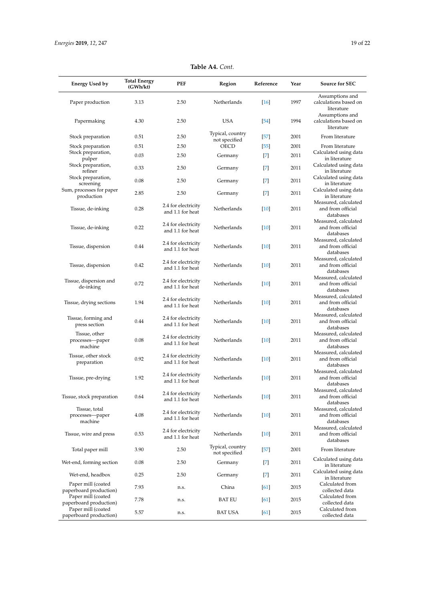| <b>Table A4.</b> Cont. |  |
|------------------------|--|
|                        |  |

<span id="page-18-0"></span>

| <b>Energy Used by</b>                        | <b>Total Energy</b><br>(GWh/kt) | PEF                                     | Region                            | Reference          | Year | <b>Source for SEC</b>                                  |
|----------------------------------------------|---------------------------------|-----------------------------------------|-----------------------------------|--------------------|------|--------------------------------------------------------|
| Paper production                             | 3.13                            | 2.50                                    | Netherlands                       | [16]               | 1997 | Assumptions and<br>calculations based on<br>literature |
| Papermaking                                  | 4.30                            | 2.50                                    | <b>USA</b>                        | 54                 | 1994 | Assumptions and<br>calculations based on<br>literature |
| Stock preparation                            | 0.51                            | 2.50                                    | Typical, country                  | $\sqrt{57}$        | 2001 | From literature                                        |
| Stock preparation                            | 0.51                            | 2.50                                    | not specified<br><b>OECD</b>      | $[55]$             | 2001 | From literature                                        |
| Stock preparation,<br>pulper                 | 0.03                            | 2.50                                    | Germany                           | [7]                | 2011 | Calculated using data<br>in literature                 |
| Stock preparation,<br>refiner                | 0.33                            | 2.50                                    | Germany                           | $\sqrt{7}$         | 2011 | Calculated using data<br>in literature                 |
| Stock preparation,<br>screening              | 0.08                            | 2.50                                    | Germany                           | $\sqrt{7}$         | 2011 | Calculated using data<br>in literature                 |
| Sum, processes for paper<br>production       | 2.85                            | 2.50                                    | Germany                           | $[7]$              | 2011 | Calculated using data<br>in literature                 |
| Tissue, de-inking                            | 0.28                            | 2.4 for electricity<br>and 1.1 for heat | Netherlands                       | $\lceil 10 \rceil$ | 2011 | Measured, calculated<br>and from official<br>databases |
| Tissue, de-inking                            | 0.22                            | 2.4 for electricity<br>and 1.1 for heat | Netherlands                       | $\lceil 10 \rceil$ | 2011 | Measured, calculated<br>and from official<br>databases |
| Tissue, dispersion                           | 0.44                            | 2.4 for electricity<br>and 1.1 for heat | Netherlands                       | $[10]$             | 2011 | Measured, calculated<br>and from official<br>databases |
| Tissue, dispersion                           | 0.42                            | 2.4 for electricity<br>and 1.1 for heat | Netherlands                       | $[10]$             | 2011 | Measured, calculated<br>and from official<br>databases |
| Tissue, dispersion and<br>de-inking          | 0.72                            | 2.4 for electricity<br>and 1.1 for heat | Netherlands                       | $\lceil 10 \rceil$ | 2011 | Measured, calculated<br>and from official<br>databases |
| Tissue, drying sections                      | 1.94                            | 2.4 for electricity<br>and 1.1 for heat | Netherlands                       | $\lceil 10 \rceil$ | 2011 | Measured, calculated<br>and from official<br>databases |
| Tissue, forming and<br>press section         | 0.44                            | 2.4 for electricity<br>and 1.1 for heat | Netherlands                       | $[10]$             | 2011 | Measured, calculated<br>and from official<br>databases |
| Tissue, other<br>processes-paper<br>machine  | 0.08                            | 2.4 for electricity<br>and 1.1 for heat | Netherlands                       | $[10]$             | 2011 | Measured, calculated<br>and from official<br>databases |
| Tissue, other stock<br>preparation           | 0.92                            | 2.4 for electricity<br>and 1.1 for heat | Netherlands                       | $[10]$             | 2011 | Measured, calculated<br>and from official<br>databases |
| Tissue, pre-drying                           | 1.92                            | 2.4 for electricity<br>and 1.1 for heat | Netherlands                       | $[10]$             | 2011 | Measured, calculated<br>and from official<br>databases |
| Tissue, stock preparation                    | 0.64                            | 2.4 for electricity<br>and 1.1 for heat | Netherlands                       | $[10]$             | 2011 | Measured, calculated<br>and from official<br>databases |
| Tissue, total<br>processes-paper<br>machine  | 4.08                            | 2.4 for electricity<br>and 1.1 for heat | Netherlands                       | $[10]$             | 2011 | Measured, calculated<br>and from official<br>databases |
| Tissue, wire and press                       | 0.53                            | 2.4 for electricity<br>and 1.1 for heat | Netherlands                       | $[10]$             | 2011 | Measured, calculated<br>and from official<br>databases |
| Total paper mill                             | 3.90                            | 2.50                                    | Typical, country<br>not specified | $[57]$             | 2001 | From literature                                        |
| Wet-end, forming section                     | 0.08                            | 2.50                                    | Germany                           | [7]                | 2011 | Calculated using data<br>in literature                 |
| Wet-end, headbox                             | 0.25                            | 2.50                                    | Germany                           | [7]                | 2011 | Calculated using data<br>in literature                 |
| Paper mill (coated<br>paperboard production) | 7.93                            | n.s.                                    | China                             | [61]               | 2015 | Calculated from<br>collected data                      |
| Paper mill (coated<br>paperboard production) | 7.78                            | n.s.                                    | BAT EU                            | [61]               | 2015 | Calculated from<br>collected data                      |
| Paper mill (coated<br>paperboard production) | 5.57                            | n.s.                                    | BAT USA                           | $[61]$             | 2015 | Calculated from<br>collected data                      |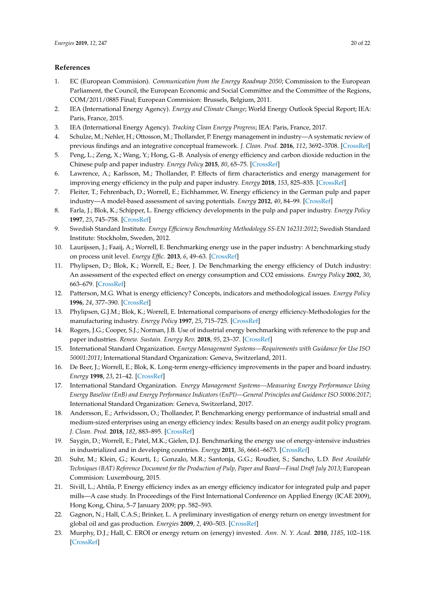### **References**

- <span id="page-19-0"></span>1. EC (European Commision). *Communication from the Energy Roadmap 2050*; Commission to the European Parliament, the Council, the European Economic and Social Committee and the Committee of the Regions, COM/2011/0885 Final; European Commision: Brussels, Belgium, 2011.
- <span id="page-19-1"></span>2. IEA (International Energy Agency). *Energy and Climate Change*; World Energy Outlook Special Report; IEA: Paris, France, 2015.
- <span id="page-19-2"></span>3. IEA (International Energy Agency). *Tracking Clean Energy Progress*; IEA: Paris, France, 2017.
- <span id="page-19-3"></span>4. Schulze, M.; Nehler, H.; Ottosson, M.; Thollander, P. Energy management in industry—A systematic review of previous findings and an integrative conceptual framework. *J. Clean. Prod.* **2016**, *112*, 3692–3708. [\[CrossRef\]](http://dx.doi.org/10.1016/j.jclepro.2015.06.060)
- <span id="page-19-4"></span>5. Peng, L.; Zeng, X.; Wang, Y.; Hong, G.-B. Analysis of energy efficiency and carbon dioxide reduction in the Chinese pulp and paper industry. *Energy Policy* **2015**, *80*, 65–75. [\[CrossRef\]](http://dx.doi.org/10.1016/j.enpol.2015.01.028)
- <span id="page-19-5"></span>6. Lawrence, A.; Karlsson, M.; Thollander, P. Effects of firm characteristics and energy management for improving energy efficiency in the pulp and paper industry. *Energy* **2018**, *153*, 825–835. [\[CrossRef\]](http://dx.doi.org/10.1016/j.energy.2018.04.092)
- <span id="page-19-6"></span>7. Fleiter, T.; Fehrenbach, D.; Worrell, E.; Eichhammer, W. Energy efficiency in the German pulp and paper industry—A model-based assessment of saving potentials. *Energy* **2012**, *40*, 84–99. [\[CrossRef\]](http://dx.doi.org/10.1016/j.energy.2012.02.025)
- <span id="page-19-7"></span>8. Farla, J.; Blok, K.; Schipper, L. Energy efficiency developments in the pulp and paper industry. *Energy Policy* **1997**, *25*, 745–758. [\[CrossRef\]](http://dx.doi.org/10.1016/S0301-4215(97)00065-7)
- <span id="page-19-8"></span>9. Swedish Standard Institute. *Energy Efficiency Benchmarking Methodology SS-EN 16231:2012*; Swedish Standard Institute: Stockholm, Sweden, 2012.
- <span id="page-19-9"></span>10. Laurijssen, J.; Faaij, A.; Worrell, E. Benchmarking energy use in the paper industry: A benchmarking study on process unit level. *Energy Effic.* **2013**, *6*, 49–63. [\[CrossRef\]](http://dx.doi.org/10.1007/s12053-012-9163-9)
- <span id="page-19-10"></span>11. Phylipsen, D.; Blok, K.; Worrell, E.; Beer, J. De Benchmarking the energy efficiency of Dutch industry: An assessment of the expected effect on energy consumption and CO2 emissions. *Energy Policy* **2002**, *30*, 663–679. [\[CrossRef\]](http://dx.doi.org/10.1016/S0301-4215(02)00023-X)
- <span id="page-19-11"></span>12. Patterson, M.G. What is energy efficiency? Concepts, indicators and methodological issues. *Energy Policy* **1996**, *24*, 377–390. [\[CrossRef\]](http://dx.doi.org/10.1016/0301-4215(96)00017-1)
- <span id="page-19-12"></span>13. Phylipsen, G.J.M.; Blok, K.; Worrell, E. International comparisons of energy efficiency-Methodologies for the manufacturing industry. *Energy Policy* **1997**, *25*, 715–725. [\[CrossRef\]](http://dx.doi.org/10.1016/S0301-4215(97)00063-3)
- <span id="page-19-13"></span>14. Rogers, J.G.; Cooper, S.J.; Norman, J.B. Use of industrial energy benchmarking with reference to the pup and paper industries. *Renew. Sustain. Energy Rev.* **2018**, *95*, 23–37. [\[CrossRef\]](http://dx.doi.org/10.1016/j.rser.2018.06.019)
- <span id="page-19-14"></span>15. International Standard Organization. *Energy Management Systems—Requirements with Guidance for Use ISO 50001:2011*; International Standard Organization: Geneva, Switzerland, 2011.
- <span id="page-19-15"></span>16. De Beer, J.; Worrell, E.; Blok, K. Long-term energy-efficiency improvements in the paper and board industry. *Energy* **1998**, *23*, 21–42. [\[CrossRef\]](http://dx.doi.org/10.1016/S0360-5442(97)00065-0)
- <span id="page-19-16"></span>17. International Standard Organization. *Energy Management Systems—Measuring Energy Performance Using Energy Baseline (EnB) and Energy Performance Indicators (EnPI)—General Principles and Guidance ISO 50006:2017*; International Standard Organization: Geneva, Switzerland, 2017.
- <span id="page-19-17"></span>18. Andersson, E.; Arfwidsson, O.; Thollander, P. Benchmarking energy performance of industrial small and medium-sized enterprises using an energy efficiency index: Results based on an energy audit policy program. *J. Clean. Prod.* **2018**, *182*, 883–895. [\[CrossRef\]](http://dx.doi.org/10.1016/j.jclepro.2018.02.027)
- <span id="page-19-18"></span>19. Saygin, D.; Worrell, E.; Patel, M.K.; Gielen, D.J. Benchmarking the energy use of energy-intensive industries in industrialized and in developing countries. *Energy* **2011**, *36*, 6661–6673. [\[CrossRef\]](http://dx.doi.org/10.1016/j.energy.2011.08.025)
- <span id="page-19-19"></span>20. Suhr, M.; Klein, G.; Kourti, I.; Gonzalo, M.R.; Santonja, G.G.; Roudier, S.; Sancho, L.D. *Best Available Techniques (BAT) Reference Document for the Production of Pulp, Paper and Board—Final Draft July 2013*; European Commision: Luxembourg, 2015.
- <span id="page-19-20"></span>21. Sivill, L.; Ahtila, P. Energy efficiency index as an energy efficiency indicator for integrated pulp and paper mills—A case study. In Proceedings of the First International Conference on Applied Energy (ICAE 2009), Hong Kong, China, 5–7 January 2009; pp. 582–593.
- <span id="page-19-21"></span>22. Gagnon, N.; Hall, C.A.S.; Brinker, L. A preliminary investigation of energy return on energy investment for global oil and gas production. *Energies* **2009**, *2*, 490–503. [\[CrossRef\]](http://dx.doi.org/10.3390/en20300490)
- 23. Murphy, D.J.; Hall, C. EROI or energy return on (energy) invested. *Ann. N. Y. Acad.* **2010**, *1185*, 102–118. [\[CrossRef\]](http://dx.doi.org/10.1111/j.1749-6632.2009.05282.x)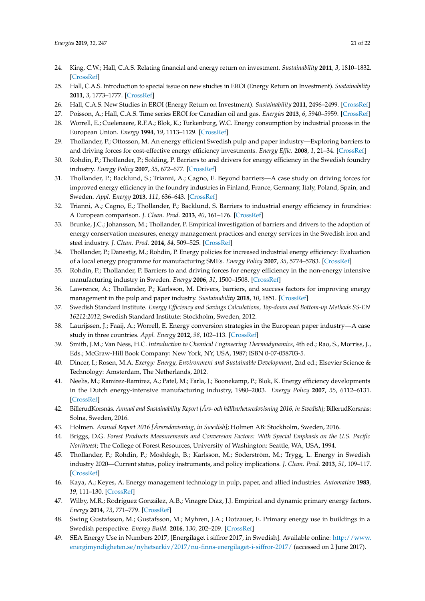- 24. King, C.W.; Hall, C.A.S. Relating financial and energy return on investment. *Sustainability* **2011**, *3*, 1810–1832. [\[CrossRef\]](http://dx.doi.org/10.3390/su3101810)
- 25. Hall, C.A.S. Introduction to special issue on new studies in EROI (Energy Return on Investment). *Sustainability* **2011**, *3*, 1773–1777. [\[CrossRef\]](http://dx.doi.org/10.3390/su3101773)
- 26. Hall, C.A.S. New Studies in EROI (Energy Return on Investment). *Sustainability* **2011**, 2496–2499. [\[CrossRef\]](http://dx.doi.org/10.3390/su3122496)
- <span id="page-20-0"></span>27. Poisson, A.; Hall, C.A.S. Time series EROI for Canadian oil and gas. *Energies* **2013**, *6*, 5940–5959. [\[CrossRef\]](http://dx.doi.org/10.3390/en6115940)
- <span id="page-20-1"></span>28. Worrell, E.; Cuelenaere, R.F.A.; Blok, K.; Turkenburg, W.C. Energy consumption by industrial process in the European Union. *Energy* **1994**, *19*, 1113–1129. [\[CrossRef\]](http://dx.doi.org/10.1016/0360-5442(94)90068-X)
- <span id="page-20-2"></span>29. Thollander, P.; Ottosson, M. An energy efficient Swedish pulp and paper industry—Exploring barriers to and driving forces for cost-effective energy efficiency investments. *Energy Effic.* **2008**, *1*, 21–34. [\[CrossRef\]](http://dx.doi.org/10.1007/s12053-007-9001-7)
- <span id="page-20-3"></span>30. Rohdin, P.; Thollander, P.; Solding, P. Barriers to and drivers for energy efficiency in the Swedish foundry industry. *Energy Policy* **2007**, *35*, 672–677. [\[CrossRef\]](http://dx.doi.org/10.1016/j.enpol.2006.01.010)
- <span id="page-20-4"></span>31. Thollander, P.; Backlund, S.; Trianni, A.; Cagno, E. Beyond barriers—A case study on driving forces for improved energy efficiency in the foundry industries in Finland, France, Germany, Italy, Poland, Spain, and Sweden. *Appl. Energy* **2013**, *111*, 636–643. [\[CrossRef\]](http://dx.doi.org/10.1016/j.apenergy.2013.05.036)
- <span id="page-20-5"></span>32. Trianni, A.; Cagno, E.; Thollander, P.; Backlund, S. Barriers to industrial energy efficiency in foundries: A European comparison. *J. Clean. Prod.* **2013**, *40*, 161–176. [\[CrossRef\]](http://dx.doi.org/10.1016/j.jclepro.2012.08.040)
- <span id="page-20-6"></span>33. Brunke, J.C.; Johansson, M.; Thollander, P. Empirical investigation of barriers and drivers to the adoption of energy conservation measures, energy management practices and energy services in the Swedish iron and steel industry. *J. Clean. Prod.* **2014**, *84*, 509–525. [\[CrossRef\]](http://dx.doi.org/10.1016/j.jclepro.2014.04.078)
- <span id="page-20-7"></span>34. Thollander, P.; Danestig, M.; Rohdin, P. Energy policies for increased industrial energy efficiency: Evaluation of a local energy programme for manufacturing SMEs. *Energy Policy* **2007**, *35*, 5774–5783. [\[CrossRef\]](http://dx.doi.org/10.1016/j.enpol.2007.06.013)
- <span id="page-20-8"></span>35. Rohdin, P.; Thollander, P. Barriers to and driving forces for energy efficiency in the non-energy intensive manufacturing industry in Sweden. *Energy* **2006**, *31*, 1500–1508. [\[CrossRef\]](http://dx.doi.org/10.1016/j.energy.2005.10.010)
- <span id="page-20-9"></span>36. Lawrence, A.; Thollander, P.; Karlsson, M. Drivers, barriers, and success factors for improving energy management in the pulp and paper industry. *Sustainability* **2018**, *10*, 1851. [\[CrossRef\]](http://dx.doi.org/10.3390/su10061851)
- <span id="page-20-10"></span>37. Swedish Standard Institute. *Energy Efficiency and Savings Calculations, Top-down and Bottom-up Methods SS-EN 16212:2012*; Swedish Standard Institute: Stockholm, Sweden, 2012.
- <span id="page-20-11"></span>38. Laurijssen, J.; Faaij, A.; Worrell, E. Energy conversion strategies in the European paper industry—A case study in three countries. *Appl. Energy* **2012**, *98*, 102–113. [\[CrossRef\]](http://dx.doi.org/10.1016/j.apenergy.2012.03.001)
- <span id="page-20-12"></span>39. Smith, J.M.; Van Ness, H.C. *Introduction to Chemical Engineering Thermodynamics*, 4th ed.; Rao, S., Morriss, J., Eds.; McGraw-Hill Book Company: New York, NY, USA, 1987; ISBN 0-07-058703-5.
- <span id="page-20-13"></span>40. Dincer, I.; Rosen, M.A. *Exergy: Energy, Environment and Sustainable Development*, 2nd ed.; Elsevier Science & Technology: Amsterdam, The Netherlands, 2012.
- <span id="page-20-14"></span>41. Neelis, M.; Ramirez-Ramirez, A.; Patel, M.; Farla, J.; Boonekamp, P.; Blok, K. Energy efficiency developments in the Dutch energy-intensive manufacturing industry, 1980–2003. *Energy Policy* **2007**, *35*, 6112–6131. [\[CrossRef\]](http://dx.doi.org/10.1016/j.enpol.2007.06.014)
- <span id="page-20-15"></span>42. BillerudKorsnäs. *Annual and Sustainability Report [Års- och hållbarhetsredovisning 2016, in Swedish]*; BillerudKorsnäs: Solna, Sweden, 2016.
- <span id="page-20-16"></span>43. Holmen. *Annual Report 2016 [Årsredovisning, in Swedish]*; Holmen AB: Stockholm, Sweden, 2016.
- <span id="page-20-17"></span>44. Briggs, D.G. *Forest Products Measurements and Conversion Factors: With Special Emphasis on the U.S. Pacific Northwest*; The College of Forest Resources, University of Washington: Seattle, WA, USA, 1994.
- <span id="page-20-18"></span>45. Thollander, P.; Rohdin, P.; Moshfegh, B.; Karlsson, M.; Söderström, M.; Trygg, L. Energy in Swedish industry 2020—Current status, policy instruments, and policy implications. *J. Clean. Prod.* **2013**, *51*, 109–117. [\[CrossRef\]](http://dx.doi.org/10.1016/j.jclepro.2013.01.021)
- <span id="page-20-19"></span>46. Kaya, A.; Keyes, A. Energy management technology in pulp, paper, and allied industries. *Automation* **1983**, *19*, 111–130. [\[CrossRef\]](http://dx.doi.org/10.1016/0005-1098(83)90086-9)
- <span id="page-20-20"></span>47. Wilby, M.R.; Rodríguez González, A.B.; Vinagre Díaz, J.J. Empirical and dynamic primary energy factors. *Energy* **2014**, *73*, 771–779. [\[CrossRef\]](http://dx.doi.org/10.1016/j.energy.2014.06.083)
- <span id="page-20-21"></span>48. Swing Gustafsson, M.; Gustafsson, M.; Myhren, J.A.; Dotzauer, E. Primary energy use in buildings in a Swedish perspective. *Energy Build.* **2016**, *130*, 202–209. [\[CrossRef\]](http://dx.doi.org/10.1016/j.enbuild.2016.08.026)
- <span id="page-20-22"></span>49. SEA Energy Use in Numbers 2017, [Energiläget i siffror 2017, in Swedish]. Available online: [http://www.](http://www.energimyndigheten.se/nyhetsarkiv/2017/nu-finns-energilaget-i-siffror-2017/) [energimyndigheten.se/nyhetsarkiv/2017/nu-finns-energilaget-i-siffror-2017/](http://www.energimyndigheten.se/nyhetsarkiv/2017/nu-finns-energilaget-i-siffror-2017/) (accessed on 2 June 2017).